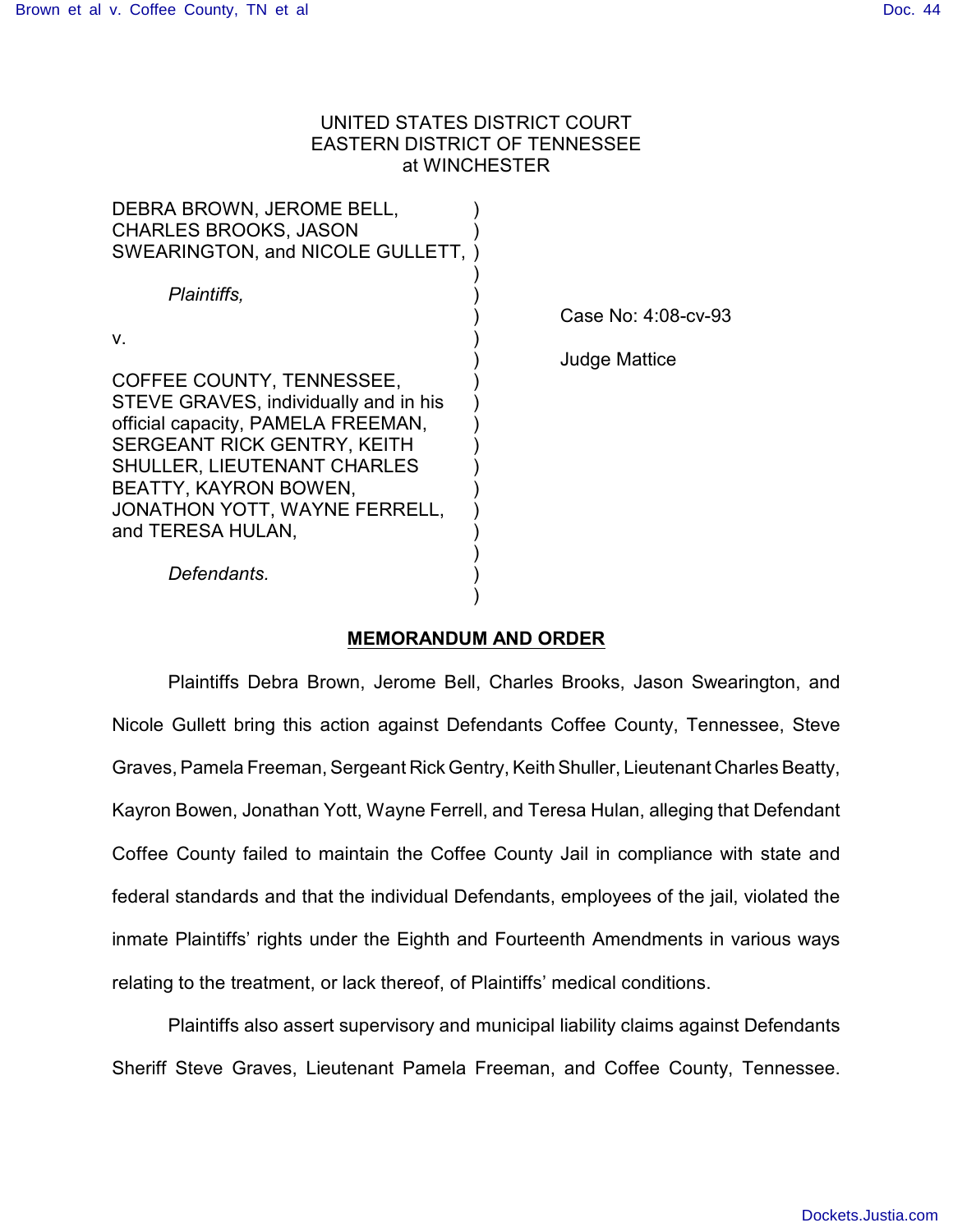# UNITED STATES DISTRICT COURT EASTERN DISTRICT OF TENNESSEE at WINCHESTER

| DEBRA BROWN, JEROME BELL,<br><b>CHARLES BROOKS, JASON</b><br>SWEARINGTON, and NICOLE GULLETT,                                                                                                                                                                |                      |
|--------------------------------------------------------------------------------------------------------------------------------------------------------------------------------------------------------------------------------------------------------------|----------------------|
| Plaintiffs,<br>V.                                                                                                                                                                                                                                            | Case No: 4:08-cv-93  |
| COFFEE COUNTY, TENNESSEE,<br>STEVE GRAVES, individually and in his<br>official capacity, PAMELA FREEMAN,<br>SERGEANT RICK GENTRY, KEITH<br><b>SHULLER, LIEUTENANT CHARLES</b><br>BEATTY, KAYRON BOWEN,<br>JONATHON YOTT, WAYNE FERRELL,<br>and TERESA HULAN, | <b>Judge Mattice</b> |
| Defendants.                                                                                                                                                                                                                                                  |                      |

### **MEMORANDUM AND ORDER**

Plaintiffs Debra Brown, Jerome Bell, Charles Brooks, Jason Swearington, and Nicole Gullett bring this action against Defendants Coffee County, Tennessee, Steve Graves, Pamela Freeman, Sergeant Rick Gentry, Keith Shuller, Lieutenant Charles Beatty, Kayron Bowen, Jonathan Yott, Wayne Ferrell, and Teresa Hulan, alleging that Defendant Coffee County failed to maintain the Coffee County Jail in compliance with state and federal standards and that the individual Defendants, employees of the jail, violated the inmate Plaintiffs' rights under the Eighth and Fourteenth Amendments in various ways relating to the treatment, or lack thereof, of Plaintiffs' medical conditions.

Plaintiffs also assert supervisory and municipal liability claims against Defendants Sheriff Steve Graves, Lieutenant Pamela Freeman, and Coffee County, Tennessee.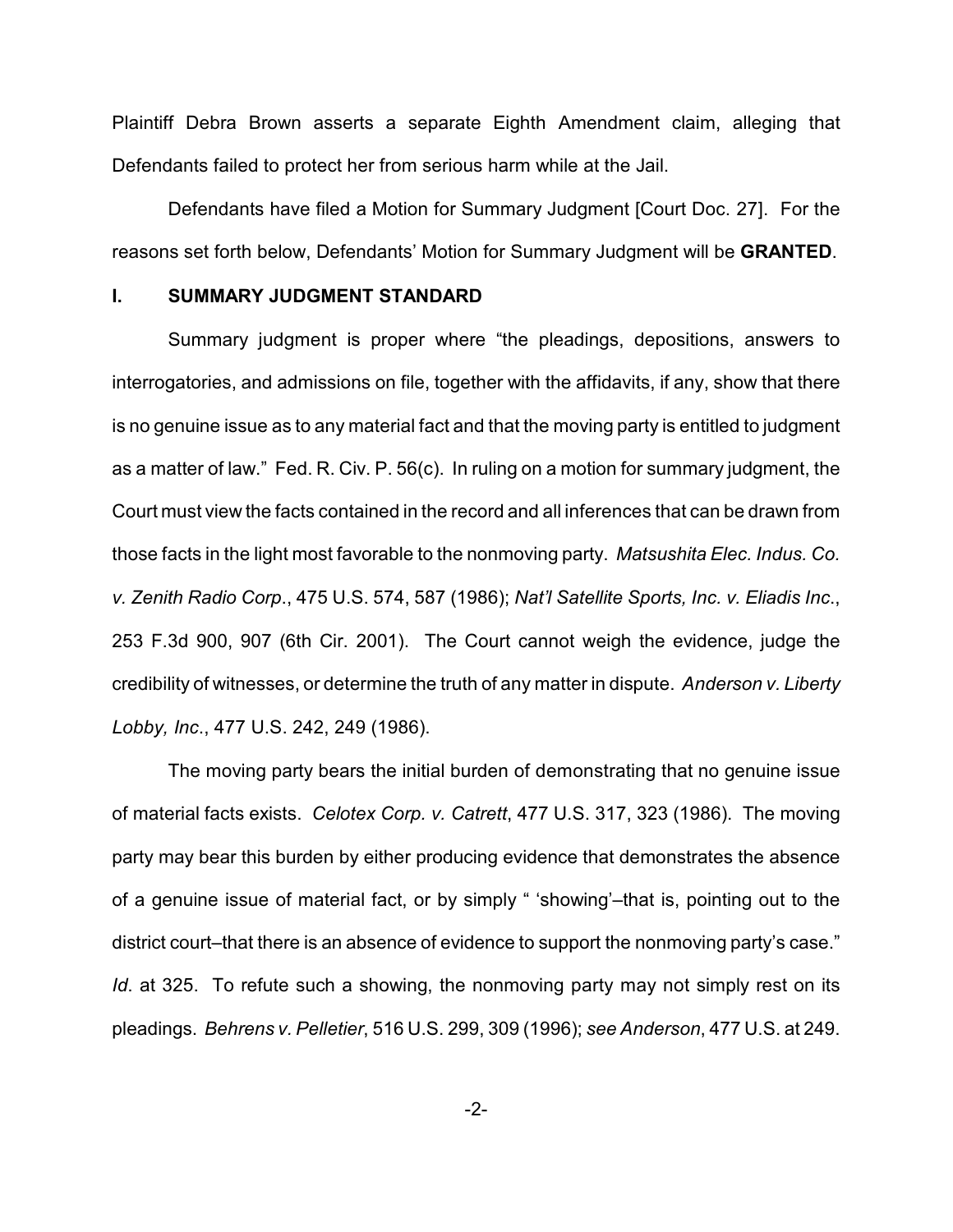Plaintiff Debra Brown asserts a separate Eighth Amendment claim, alleging that Defendants failed to protect her from serious harm while at the Jail.

Defendants have filed a Motion for Summary Judgment [Court Doc. 27]. For the reasons set forth below, Defendants' Motion for Summary Judgment will be **GRANTED**.

### **I. SUMMARY JUDGMENT STANDARD**

Summary judgment is proper where "the pleadings, depositions, answers to interrogatories, and admissions on file, together with the affidavits, if any, show that there is no genuine issue as to any material fact and that the moving party is entitled to judgment as a matter of law." Fed. R. Civ. P. 56(c). In ruling on a motion for summary judgment, the Court must view the facts contained in the record and all inferences that can be drawn from those facts in the light most favorable to the nonmoving party. *Matsushita Elec. Indus. Co. v. Zenith Radio Corp*., 475 U.S. 574, 587 (1986); *Nat'l Satellite Sports, Inc. v. Eliadis Inc*., 253 F.3d 900, 907 (6th Cir. 2001). The Court cannot weigh the evidence, judge the credibility of witnesses, or determine the truth of any matter in dispute. *Anderson v. Liberty Lobby, Inc*., 477 U.S. 242, 249 (1986).

The moving party bears the initial burden of demonstrating that no genuine issue of material facts exists. *Celotex Corp. v. Catrett*, 477 U.S. 317, 323 (1986). The moving party may bear this burden by either producing evidence that demonstrates the absence of a genuine issue of material fact, or by simply " 'showing'–that is, pointing out to the district court–that there is an absence of evidence to support the nonmoving party's case." *Id*. at 325. To refute such a showing, the nonmoving party may not simply rest on its pleadings. *Behrens v. Pelletier*, 516 U.S. 299, 309 (1996); *see Anderson*, 477 U.S. at 249.

-2-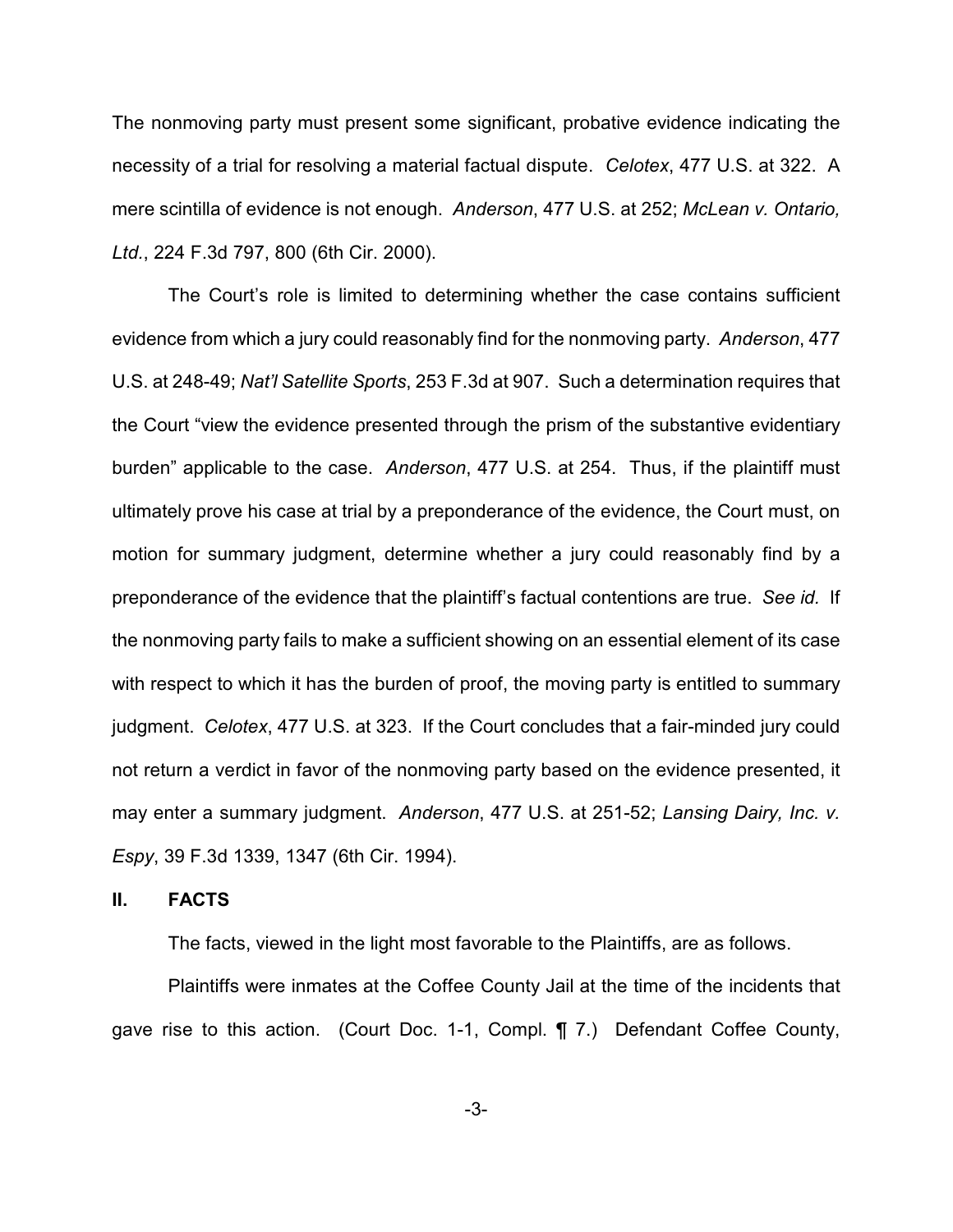The nonmoving party must present some significant, probative evidence indicating the necessity of a trial for resolving a material factual dispute. *Celotex*, 477 U.S. at 322. A mere scintilla of evidence is not enough. *Anderson*, 477 U.S. at 252; *McLean v. Ontario, Ltd.*, 224 F.3d 797, 800 (6th Cir. 2000).

The Court's role is limited to determining whether the case contains sufficient evidence from which a jury could reasonably find for the nonmoving party. *Anderson*, 477 U.S. at 248-49; *Nat'l Satellite Sports*, 253 F.3d at 907. Such a determination requires that the Court "view the evidence presented through the prism of the substantive evidentiary burden" applicable to the case. *Anderson*, 477 U.S. at 254. Thus, if the plaintiff must ultimately prove his case at trial by a preponderance of the evidence, the Court must, on motion for summary judgment, determine whether a jury could reasonably find by a preponderance of the evidence that the plaintiff's factual contentions are true. *See id.* If the nonmoving party fails to make a sufficient showing on an essential element of its case with respect to which it has the burden of proof, the moving party is entitled to summary judgment. *Celotex*, 477 U.S. at 323. If the Court concludes that a fair-minded jury could not return a verdict in favor of the nonmoving party based on the evidence presented, it may enter a summary judgment. *Anderson*, 477 U.S. at 251-52; *Lansing Dairy, Inc. v. Espy*, 39 F.3d 1339, 1347 (6th Cir. 1994).

### **II. FACTS**

The facts, viewed in the light most favorable to the Plaintiffs, are as follows.

Plaintiffs were inmates at the Coffee County Jail at the time of the incidents that gave rise to this action. (Court Doc. 1-1, Compl. ¶ 7.) Defendant Coffee County,

-3-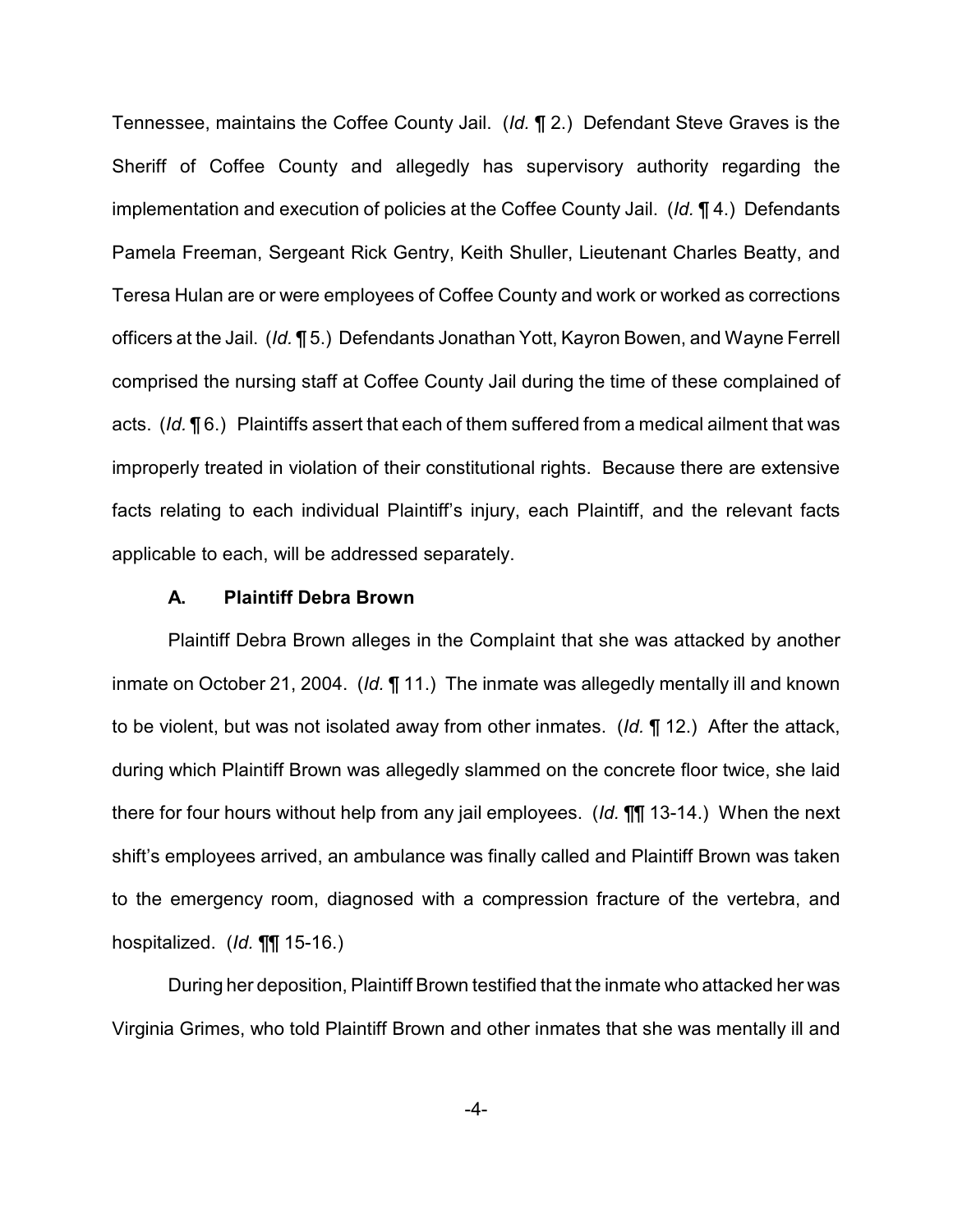Tennessee, maintains the Coffee County Jail. (*Id.* ¶ 2.) Defendant Steve Graves is the Sheriff of Coffee County and allegedly has supervisory authority regarding the implementation and execution of policies at the Coffee County Jail. (*Id.* ¶ 4.) Defendants Pamela Freeman, Sergeant Rick Gentry, Keith Shuller, Lieutenant Charles Beatty, and Teresa Hulan are or were employees of Coffee County and work or worked as corrections officers at the Jail. (*Id.* ¶ 5.) Defendants Jonathan Yott, Kayron Bowen, and Wayne Ferrell comprised the nursing staff at Coffee County Jail during the time of these complained of acts. (*Id.* ¶ 6.) Plaintiffs assert that each of them suffered from a medical ailment that was improperly treated in violation of their constitutional rights. Because there are extensive facts relating to each individual Plaintiff's injury, each Plaintiff, and the relevant facts applicable to each, will be addressed separately.

#### **A. Plaintiff Debra Brown**

Plaintiff Debra Brown alleges in the Complaint that she was attacked by another inmate on October 21, 2004. (*Id.* ¶ 11.) The inmate was allegedly mentally ill and known to be violent, but was not isolated away from other inmates. (*Id.* ¶ 12.) After the attack, during which Plaintiff Brown was allegedly slammed on the concrete floor twice, she laid there for four hours without help from any jail employees. (*Id.* ¶¶ 13-14.) When the next shift's employees arrived, an ambulance was finally called and Plaintiff Brown was taken to the emergency room, diagnosed with a compression fracture of the vertebra, and hospitalized. (*Id.* ¶¶ 15-16.)

During her deposition, Plaintiff Brown testified that the inmate who attacked her was Virginia Grimes, who told Plaintiff Brown and other inmates that she was mentally ill and

-4-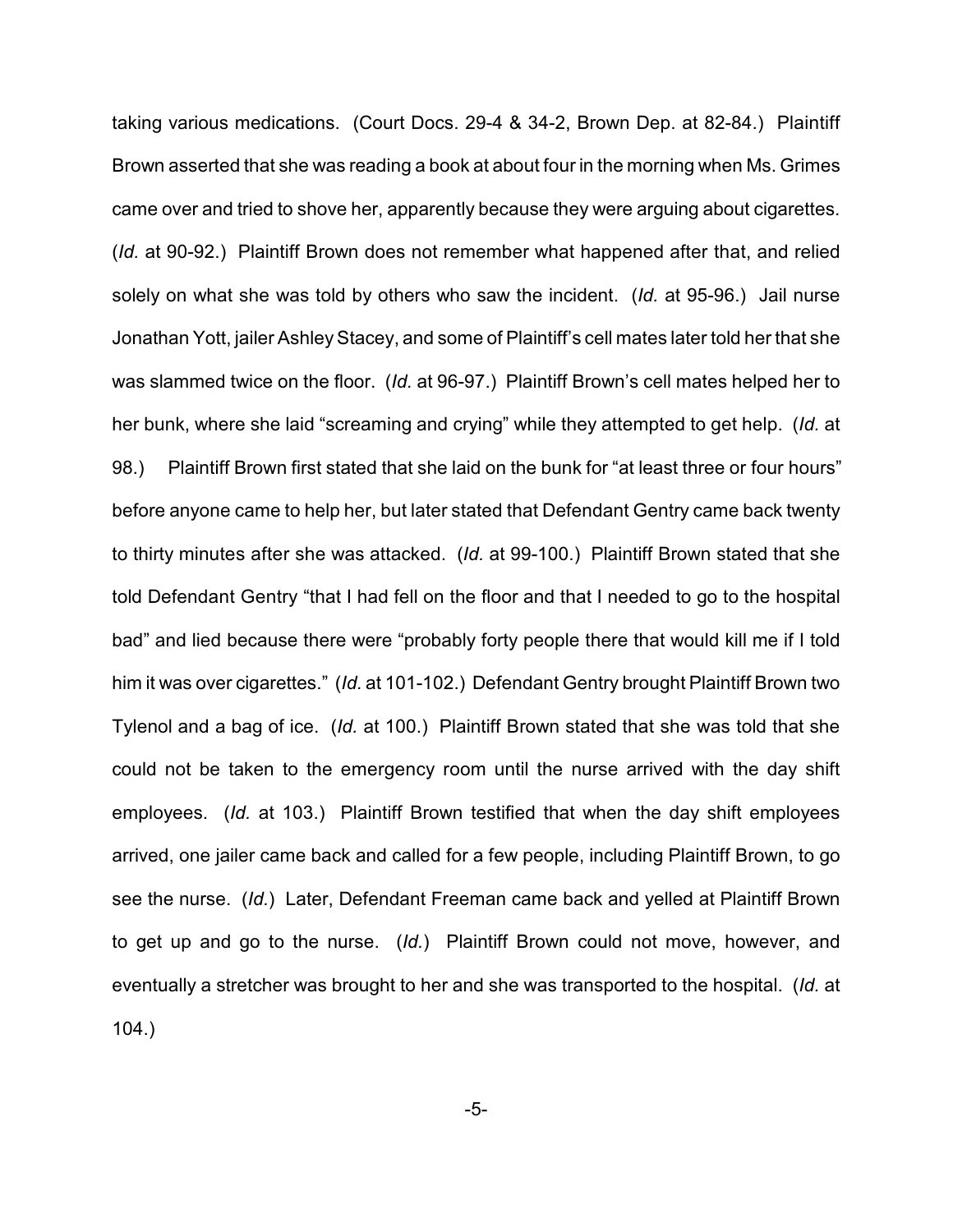taking various medications. (Court Docs. 29-4 & 34-2, Brown Dep. at 82-84.) Plaintiff Brown asserted that she was reading a book at about four in the morning when Ms. Grimes came over and tried to shove her, apparently because they were arguing about cigarettes. (*Id.* at 90-92.) Plaintiff Brown does not remember what happened after that, and relied solely on what she was told by others who saw the incident. (*Id.* at 95-96.) Jail nurse Jonathan Yott, jailer Ashley Stacey, and some of Plaintiff's cell mates later told her that she was slammed twice on the floor. (*Id.* at 96-97.) Plaintiff Brown's cell mates helped her to her bunk, where she laid "screaming and crying" while they attempted to get help. (*Id.* at 98.) Plaintiff Brown first stated that she laid on the bunk for "at least three or four hours" before anyone came to help her, but later stated that Defendant Gentry came back twenty to thirty minutes after she was attacked. (*Id.* at 99-100.) Plaintiff Brown stated that she told Defendant Gentry "that I had fell on the floor and that I needed to go to the hospital bad" and lied because there were "probably forty people there that would kill me if I told him it was over cigarettes." (*Id.* at 101-102.) Defendant Gentry brought Plaintiff Brown two Tylenol and a bag of ice. (*Id.* at 100.) Plaintiff Brown stated that she was told that she could not be taken to the emergency room until the nurse arrived with the day shift employees. (*Id.* at 103.) Plaintiff Brown testified that when the day shift employees arrived, one jailer came back and called for a few people, including Plaintiff Brown, to go see the nurse. (*Id.*) Later, Defendant Freeman came back and yelled at Plaintiff Brown to get up and go to the nurse. (*Id.*) Plaintiff Brown could not move, however, and eventually a stretcher was brought to her and she was transported to the hospital. (*Id.* at 104.)

-5-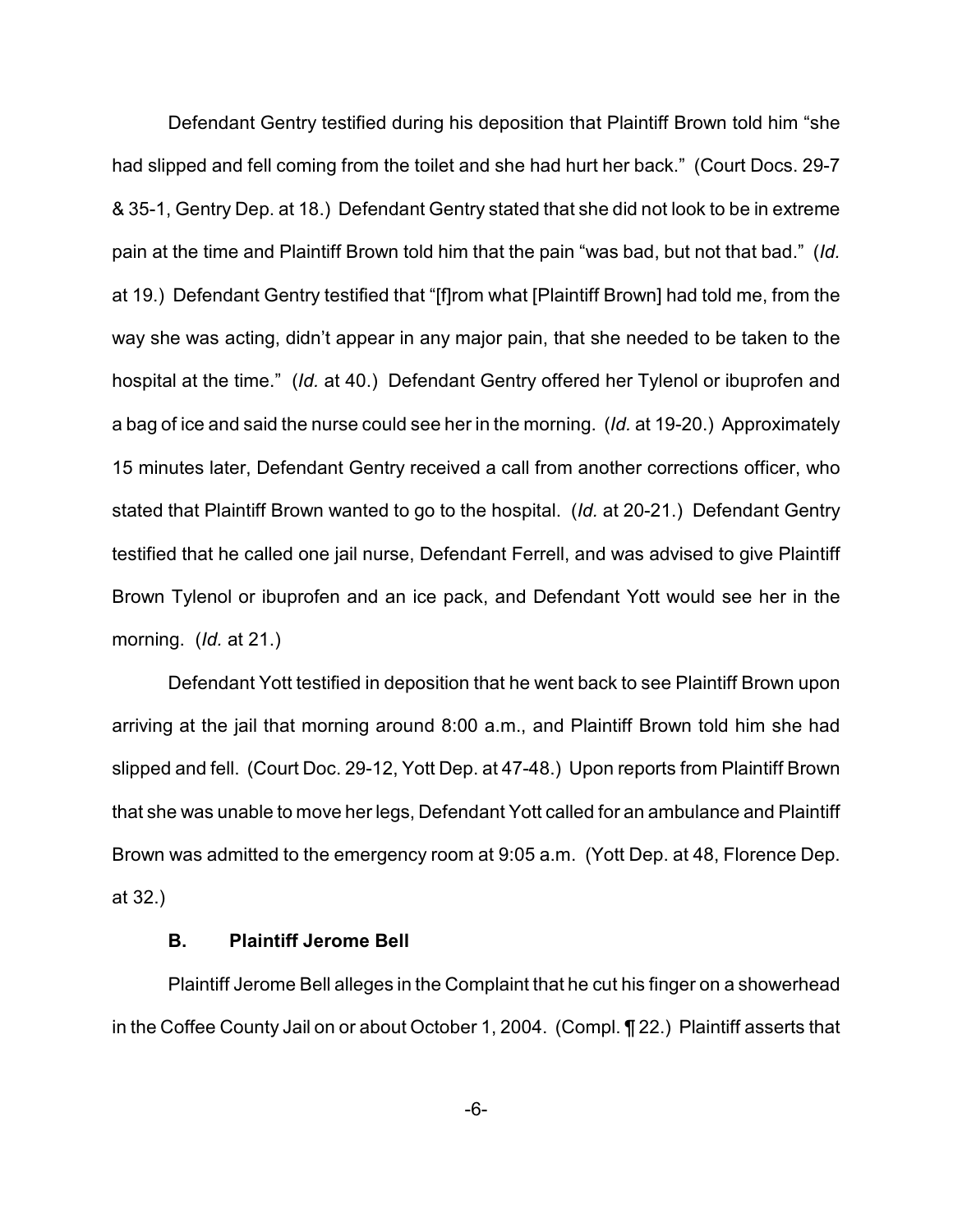Defendant Gentry testified during his deposition that Plaintiff Brown told him "she had slipped and fell coming from the toilet and she had hurt her back." (Court Docs. 29-7 & 35-1, Gentry Dep. at 18.) Defendant Gentry stated that she did not look to be in extreme pain at the time and Plaintiff Brown told him that the pain "was bad, but not that bad." (*Id.* at 19.) Defendant Gentry testified that "[f]rom what [Plaintiff Brown] had told me, from the way she was acting, didn't appear in any major pain, that she needed to be taken to the hospital at the time." (*Id.* at 40.) Defendant Gentry offered her Tylenol or ibuprofen and a bag of ice and said the nurse could see her in the morning. (*Id.* at 19-20.) Approximately 15 minutes later, Defendant Gentry received a call from another corrections officer, who stated that Plaintiff Brown wanted to go to the hospital. (*Id.* at 20-21.) Defendant Gentry testified that he called one jail nurse, Defendant Ferrell, and was advised to give Plaintiff Brown Tylenol or ibuprofen and an ice pack, and Defendant Yott would see her in the morning. (*Id.* at 21.)

Defendant Yott testified in deposition that he went back to see Plaintiff Brown upon arriving at the jail that morning around 8:00 a.m., and Plaintiff Brown told him she had slipped and fell. (Court Doc. 29-12, Yott Dep. at 47-48.) Upon reports from Plaintiff Brown that she was unable to move her legs, Defendant Yott called for an ambulance and Plaintiff Brown was admitted to the emergency room at 9:05 a.m. (Yott Dep. at 48, Florence Dep. at 32.)

# **B. Plaintiff Jerome Bell**

Plaintiff Jerome Bell alleges in the Complaint that he cut his finger on a showerhead in the Coffee County Jail on or about October 1, 2004. (Compl. ¶ 22.) Plaintiff asserts that

-6-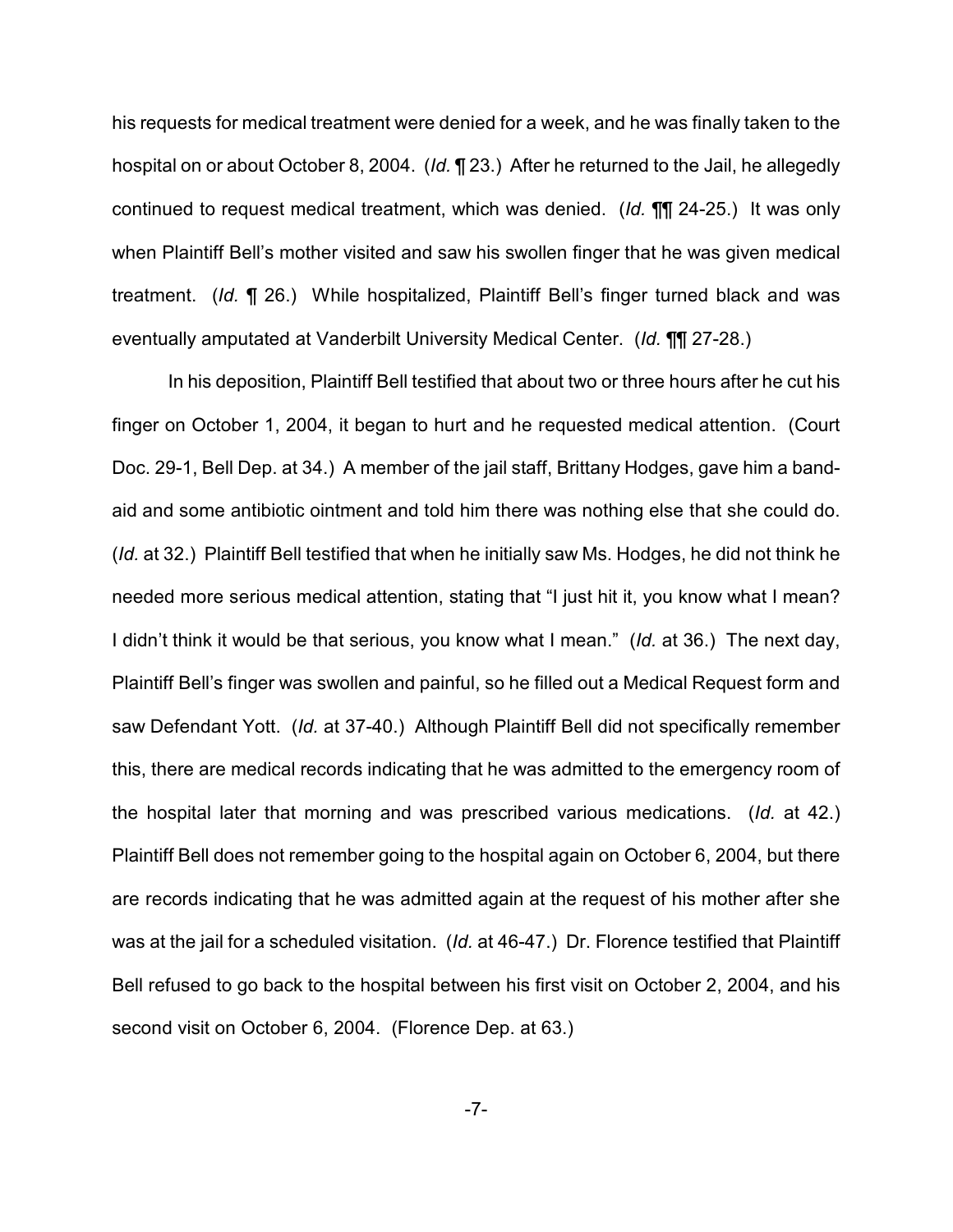his requests for medical treatment were denied for a week, and he was finally taken to the hospital on or about October 8, 2004. (*Id.* ¶ 23.) After he returned to the Jail, he allegedly continued to request medical treatment, which was denied. (*Id.* ¶¶ 24-25.) It was only when Plaintiff Bell's mother visited and saw his swollen finger that he was given medical treatment. (*Id.* ¶ 26.) While hospitalized, Plaintiff Bell's finger turned black and was eventually amputated at Vanderbilt University Medical Center. (*Id.* ¶¶ 27-28.)

In his deposition, Plaintiff Bell testified that about two or three hours after he cut his finger on October 1, 2004, it began to hurt and he requested medical attention. (Court Doc. 29-1, Bell Dep. at 34.) A member of the jail staff, Brittany Hodges, gave him a bandaid and some antibiotic ointment and told him there was nothing else that she could do. (*Id.* at 32.) Plaintiff Bell testified that when he initially saw Ms. Hodges, he did not think he needed more serious medical attention, stating that "I just hit it, you know what I mean? I didn't think it would be that serious, you know what I mean." (*Id.* at 36.) The next day, Plaintiff Bell's finger was swollen and painful, so he filled out a Medical Request form and saw Defendant Yott. (*Id.* at 37-40.) Although Plaintiff Bell did not specifically remember this, there are medical records indicating that he was admitted to the emergency room of the hospital later that morning and was prescribed various medications. (*Id.* at 42.) Plaintiff Bell does not remember going to the hospital again on October 6, 2004, but there are records indicating that he was admitted again at the request of his mother after she was at the jail for a scheduled visitation. (*Id.* at 46-47.) Dr. Florence testified that Plaintiff Bell refused to go back to the hospital between his first visit on October 2, 2004, and his second visit on October 6, 2004. (Florence Dep. at 63.)

-7-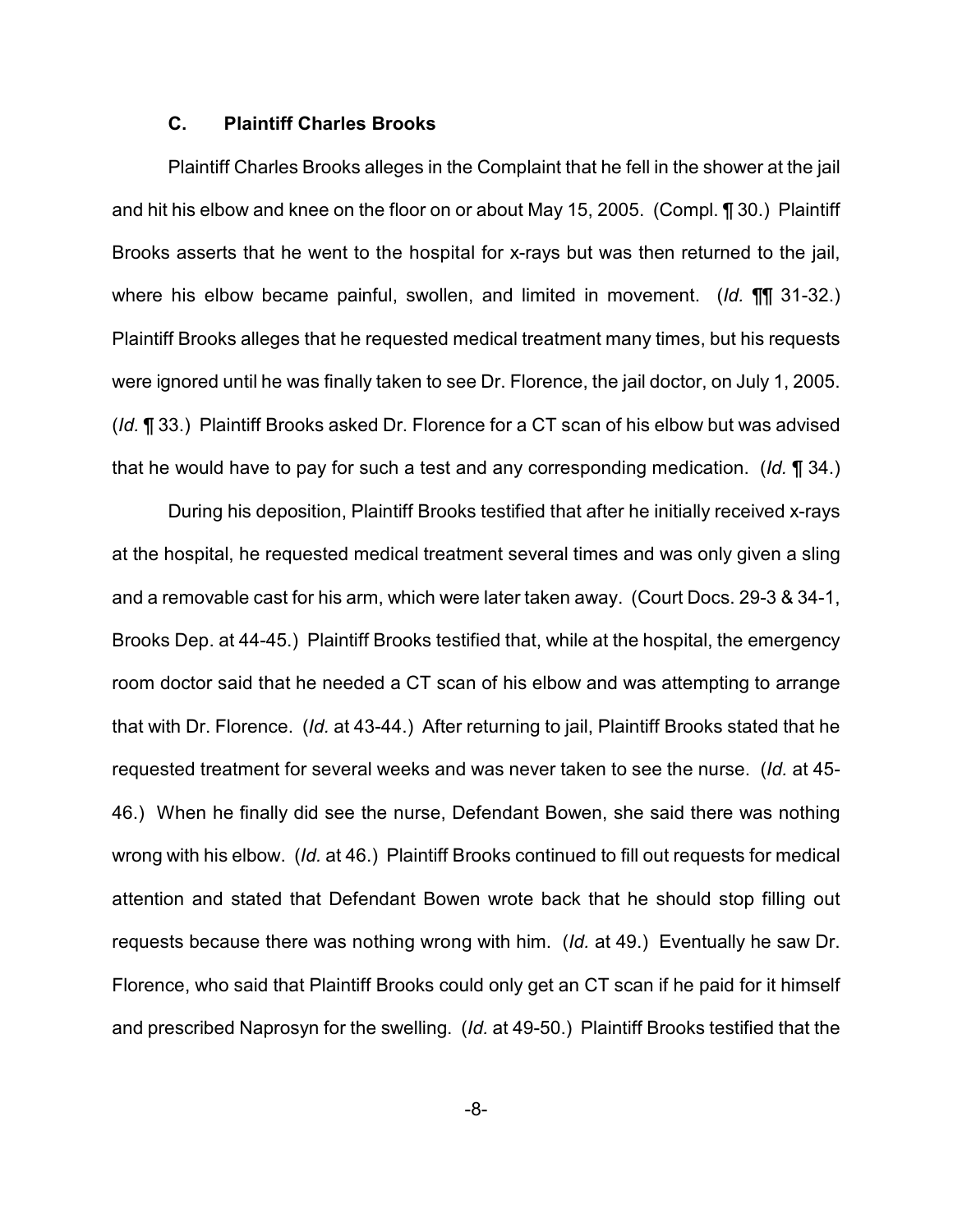## **C. Plaintiff Charles Brooks**

Plaintiff Charles Brooks alleges in the Complaint that he fell in the shower at the jail and hit his elbow and knee on the floor on or about May 15, 2005. (Compl. ¶ 30.) Plaintiff Brooks asserts that he went to the hospital for x-rays but was then returned to the jail, where his elbow became painful, swollen, and limited in movement. (*Id.* ¶¶ 31-32.) Plaintiff Brooks alleges that he requested medical treatment many times, but his requests were ignored until he was finally taken to see Dr. Florence, the jail doctor, on July 1, 2005. (*Id.* ¶ 33.) Plaintiff Brooks asked Dr. Florence for a CT scan of his elbow but was advised that he would have to pay for such a test and any corresponding medication. (*Id.* ¶ 34.)

During his deposition, Plaintiff Brooks testified that after he initially received x-rays at the hospital, he requested medical treatment several times and was only given a sling and a removable cast for his arm, which were later taken away. (Court Docs. 29-3 & 34-1, Brooks Dep. at 44-45.) Plaintiff Brooks testified that, while at the hospital, the emergency room doctor said that he needed a CT scan of his elbow and was attempting to arrange that with Dr. Florence. (*Id.* at 43-44.) After returning to jail, Plaintiff Brooks stated that he requested treatment for several weeks and was never taken to see the nurse. (*Id.* at 45- 46.) When he finally did see the nurse, Defendant Bowen, she said there was nothing wrong with his elbow. (*Id.* at 46.) Plaintiff Brooks continued to fill out requests for medical attention and stated that Defendant Bowen wrote back that he should stop filling out requests because there was nothing wrong with him. (*Id.* at 49.) Eventually he saw Dr. Florence, who said that Plaintiff Brooks could only get an CT scan if he paid for it himself and prescribed Naprosyn for the swelling. (*Id.* at 49-50.) Plaintiff Brooks testified that the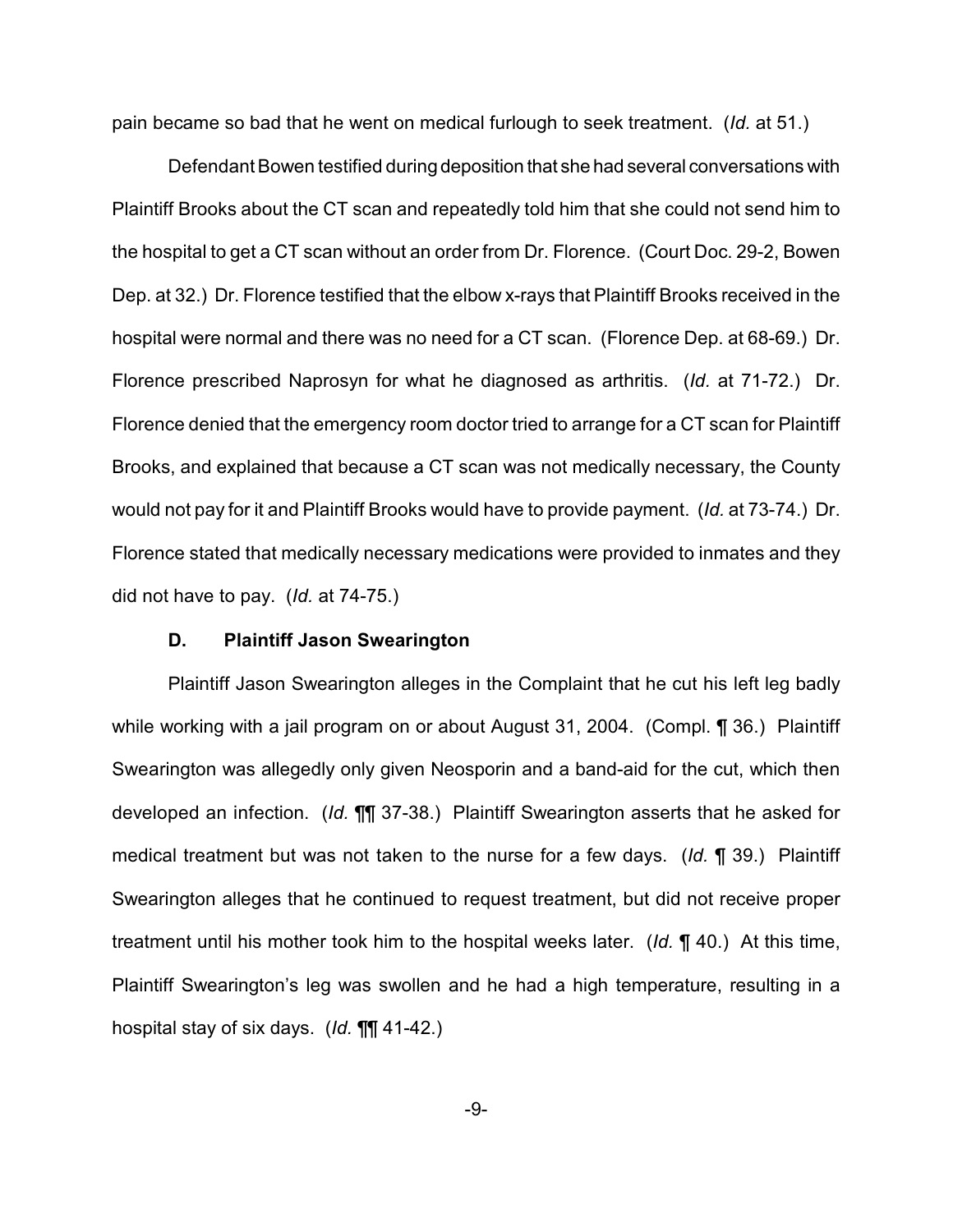pain became so bad that he went on medical furlough to seek treatment. (*Id.* at 51.)

Defendant Bowen testified during deposition that she had several conversations with Plaintiff Brooks about the CT scan and repeatedly told him that she could not send him to the hospital to get a CT scan without an order from Dr. Florence. (Court Doc. 29-2, Bowen Dep. at 32.) Dr. Florence testified that the elbow x-rays that Plaintiff Brooks received in the hospital were normal and there was no need for a CT scan. (Florence Dep. at 68-69.) Dr. Florence prescribed Naprosyn for what he diagnosed as arthritis. (*Id.* at 71-72.) Dr. Florence denied that the emergency room doctor tried to arrange for a CT scan for Plaintiff Brooks, and explained that because a CT scan was not medically necessary, the County would not pay for it and Plaintiff Brooks would have to provide payment. (*Id.* at 73-74.) Dr. Florence stated that medically necessary medications were provided to inmates and they did not have to pay. (*Id.* at 74-75.)

# **D. Plaintiff Jason Swearington**

Plaintiff Jason Swearington alleges in the Complaint that he cut his left leg badly while working with a jail program on or about August 31, 2004. (Compl. ¶ 36.) Plaintiff Swearington was allegedly only given Neosporin and a band-aid for the cut, which then developed an infection. (*Id.* ¶¶ 37-38.) Plaintiff Swearington asserts that he asked for medical treatment but was not taken to the nurse for a few days. (*Id.* ¶ 39.) Plaintiff Swearington alleges that he continued to request treatment, but did not receive proper treatment until his mother took him to the hospital weeks later. (*Id.* ¶ 40.) At this time, Plaintiff Swearington's leg was swollen and he had a high temperature, resulting in a hospital stay of six days. (*Id.* ¶¶ 41-42.)

-9-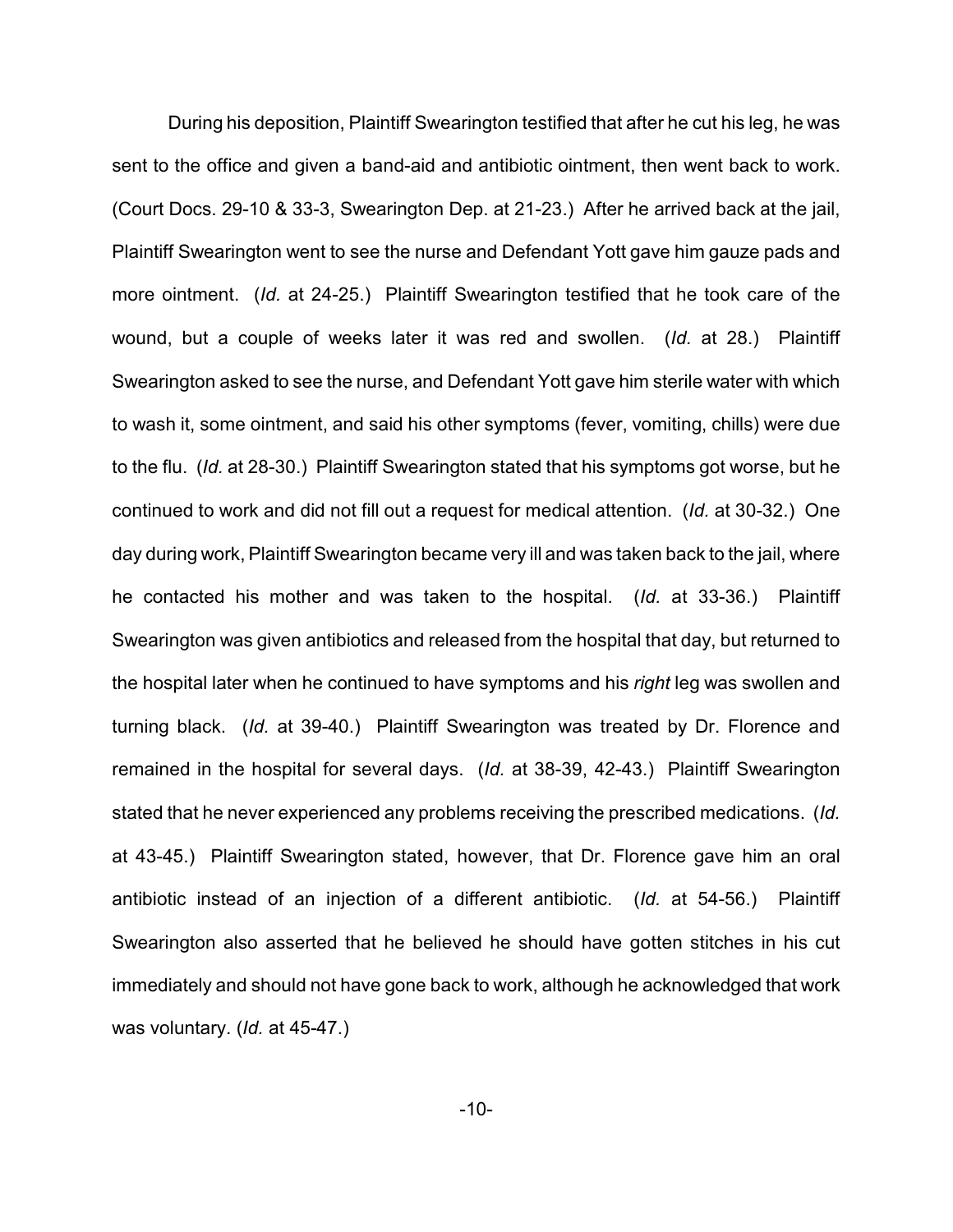During his deposition, Plaintiff Swearington testified that after he cut his leg, he was sent to the office and given a band-aid and antibiotic ointment, then went back to work. (Court Docs. 29-10 & 33-3, Swearington Dep. at 21-23.) After he arrived back at the jail, Plaintiff Swearington went to see the nurse and Defendant Yott gave him gauze pads and more ointment. (*Id.* at 24-25.) Plaintiff Swearington testified that he took care of the wound, but a couple of weeks later it was red and swollen. (*Id.* at 28.) Plaintiff Swearington asked to see the nurse, and Defendant Yott gave him sterile water with which to wash it, some ointment, and said his other symptoms (fever, vomiting, chills) were due to the flu. (*Id.* at 28-30.) Plaintiff Swearington stated that his symptoms got worse, but he continued to work and did not fill out a request for medical attention. (*Id.* at 30-32.) One day during work, Plaintiff Swearington became very ill and was taken back to the jail, where he contacted his mother and was taken to the hospital. (*Id.* at 33-36.) Plaintiff Swearington was given antibiotics and released from the hospital that day, but returned to the hospital later when he continued to have symptoms and his *right* leg was swollen and turning black. (*Id.* at 39-40.) Plaintiff Swearington was treated by Dr. Florence and remained in the hospital for several days. (*Id.* at 38-39, 42-43.) Plaintiff Swearington stated that he never experienced any problems receiving the prescribed medications. (*Id.* at 43-45.) Plaintiff Swearington stated, however, that Dr. Florence gave him an oral antibiotic instead of an injection of a different antibiotic. (*Id.* at 54-56.) Plaintiff Swearington also asserted that he believed he should have gotten stitches in his cut immediately and should not have gone back to work, although he acknowledged that work was voluntary. (*Id.* at 45-47.)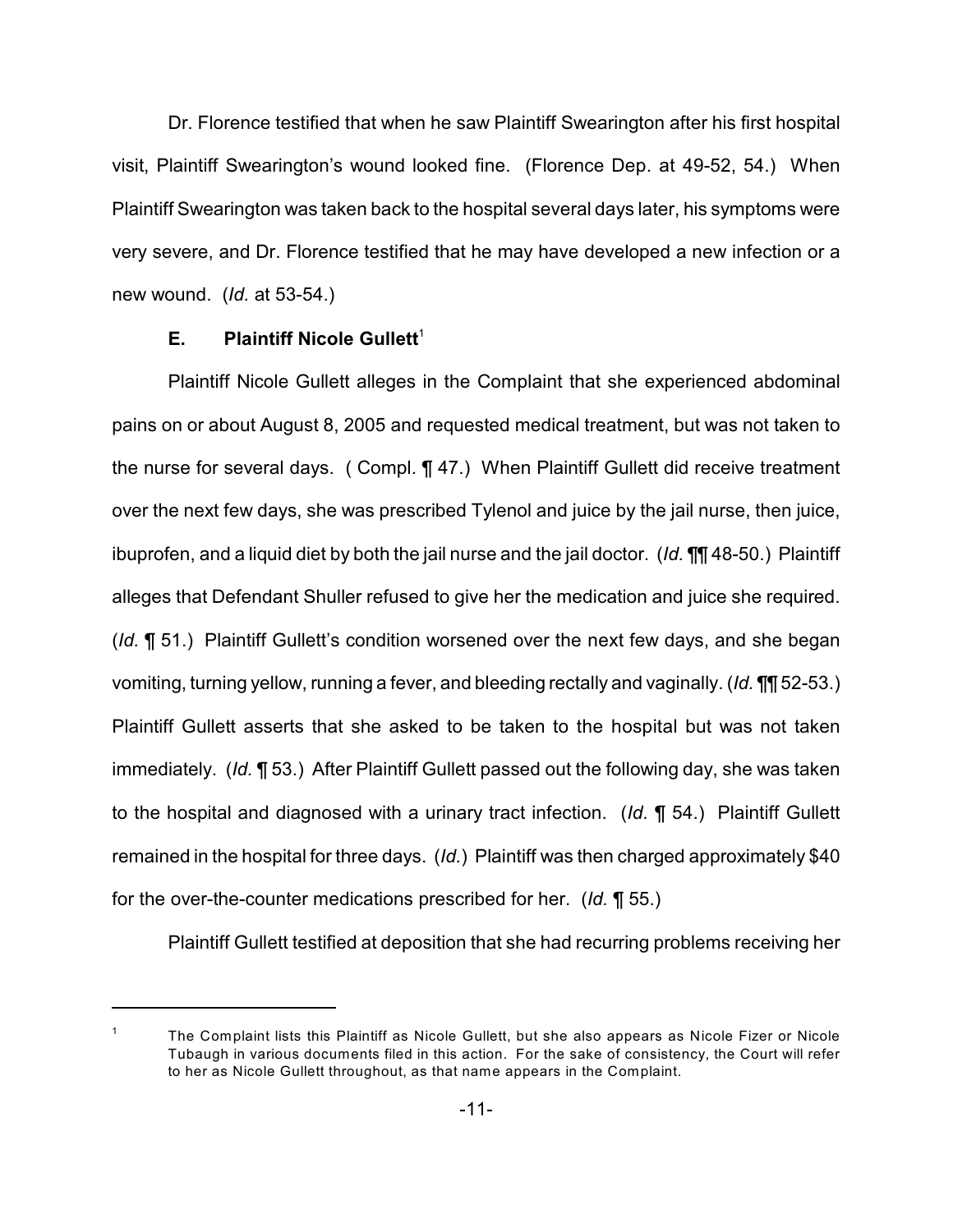Dr. Florence testified that when he saw Plaintiff Swearington after his first hospital visit, Plaintiff Swearington's wound looked fine. (Florence Dep. at 49-52, 54.) When Plaintiff Swearington was taken back to the hospital several days later, his symptoms were very severe, and Dr. Florence testified that he may have developed a new infection or a new wound. (*Id.* at 53-54.)

## **E.** Plaintiff Nicole Gullett<sup>1</sup>

Plaintiff Nicole Gullett alleges in the Complaint that she experienced abdominal pains on or about August 8, 2005 and requested medical treatment, but was not taken to the nurse for several days. ( Compl. ¶ 47.) When Plaintiff Gullett did receive treatment over the next few days, she was prescribed Tylenol and juice by the jail nurse, then juice, ibuprofen, and a liquid diet by both the jail nurse and the jail doctor. (*Id.* ¶¶ 48-50.) Plaintiff alleges that Defendant Shuller refused to give her the medication and juice she required. (*Id.* ¶ 51.) Plaintiff Gullett's condition worsened over the next few days, and she began vomiting, turning yellow, running a fever, and bleeding rectally and vaginally. (*Id.* ¶¶ 52-53.) Plaintiff Gullett asserts that she asked to be taken to the hospital but was not taken immediately. (*Id.* ¶ 53.) After Plaintiff Gullett passed out the following day, she was taken to the hospital and diagnosed with a urinary tract infection. (*Id.* ¶ 54.) Plaintiff Gullett remained in the hospital for three days. (*Id.*) Plaintiff was then charged approximately \$40 for the over-the-counter medications prescribed for her. (*Id.* ¶ 55.)

Plaintiff Gullett testified at deposition that she had recurring problems receiving her

 $1$  The Complaint lists this Plaintiff as Nicole Gullett, but she also appears as Nicole Fizer or Nicole Tubaugh in various documents filed in this action. For the sake of consistency, the Court will refer to her as Nicole Gullett throughout, as that name appears in the Complaint.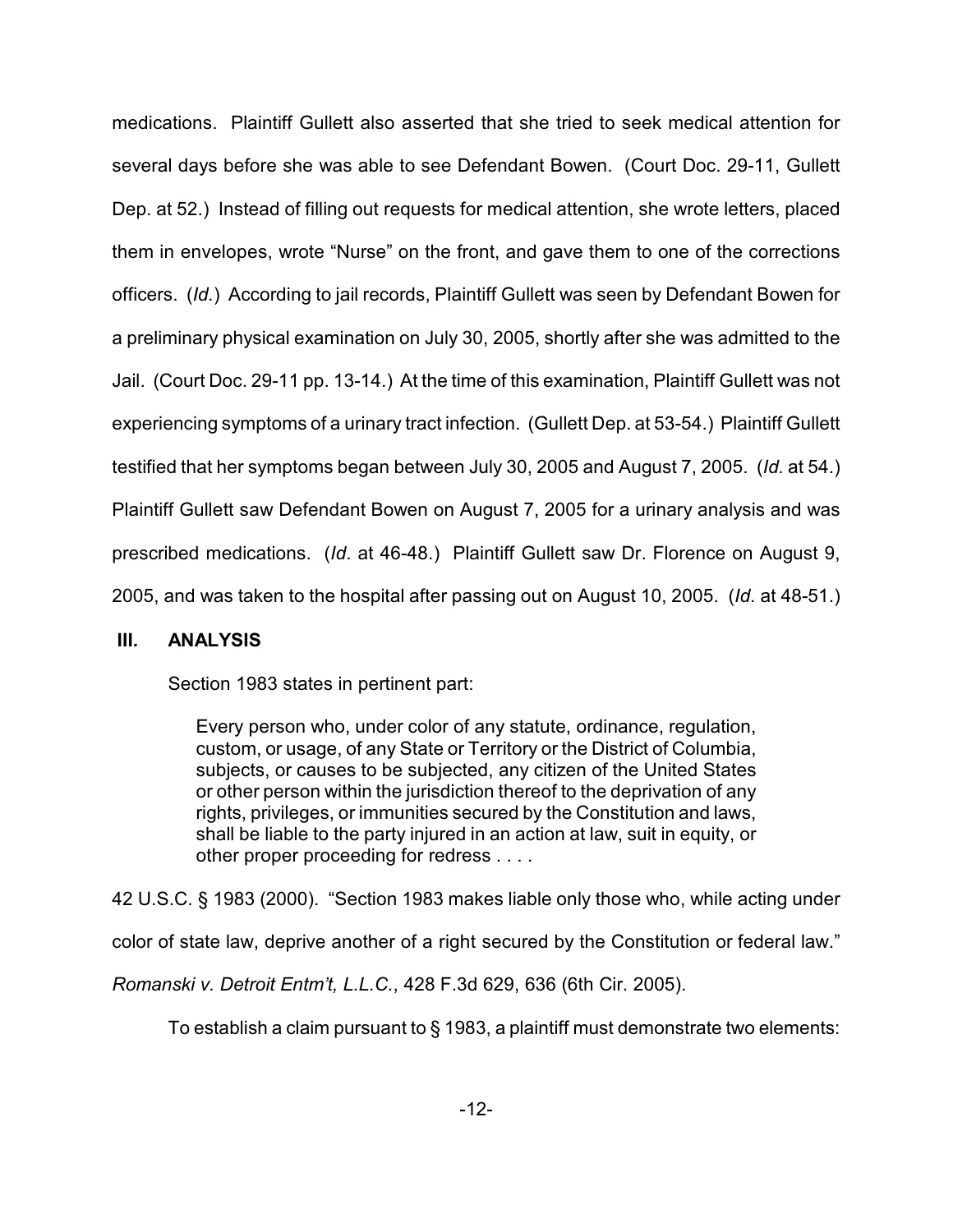medications. Plaintiff Gullett also asserted that she tried to seek medical attention for several days before she was able to see Defendant Bowen. (Court Doc. 29-11, Gullett Dep. at 52.) Instead of filling out requests for medical attention, she wrote letters, placed them in envelopes, wrote "Nurse" on the front, and gave them to one of the corrections officers. (*Id.*) According to jail records, Plaintiff Gullett was seen by Defendant Bowen for a preliminary physical examination on July 30, 2005, shortly after she was admitted to the Jail. (Court Doc. 29-11 pp. 13-14.) At the time of this examination, Plaintiff Gullett was not experiencing symptoms of a urinary tract infection. (Gullett Dep. at 53-54.) Plaintiff Gullett testified that her symptoms began between July 30, 2005 and August 7, 2005. (*Id.* at 54.) Plaintiff Gullett saw Defendant Bowen on August 7, 2005 for a urinary analysis and was prescribed medications. (*Id*. at 46-48.) Plaintiff Gullett saw Dr. Florence on August 9, 2005, and was taken to the hospital after passing out on August 10, 2005. (*Id*. at 48-51.)

# **III. ANALYSIS**

Section 1983 states in pertinent part:

Every person who, under color of any statute, ordinance, regulation, custom, or usage, of any State or Territory or the District of Columbia, subjects, or causes to be subjected, any citizen of the United States or other person within the jurisdiction thereof to the deprivation of any rights, privileges, or immunities secured by the Constitution and laws, shall be liable to the party injured in an action at law, suit in equity, or other proper proceeding for redress . . . .

42 U.S.C. § 1983 (2000). "Section 1983 makes liable only those who, while acting under color of state law, deprive another of a right secured by the Constitution or federal law." *Romanski v. Detroit Entm't, L.L.C.*, 428 F.3d 629, 636 (6th Cir. 2005).

To establish a claim pursuant to § 1983, a plaintiff must demonstrate two elements: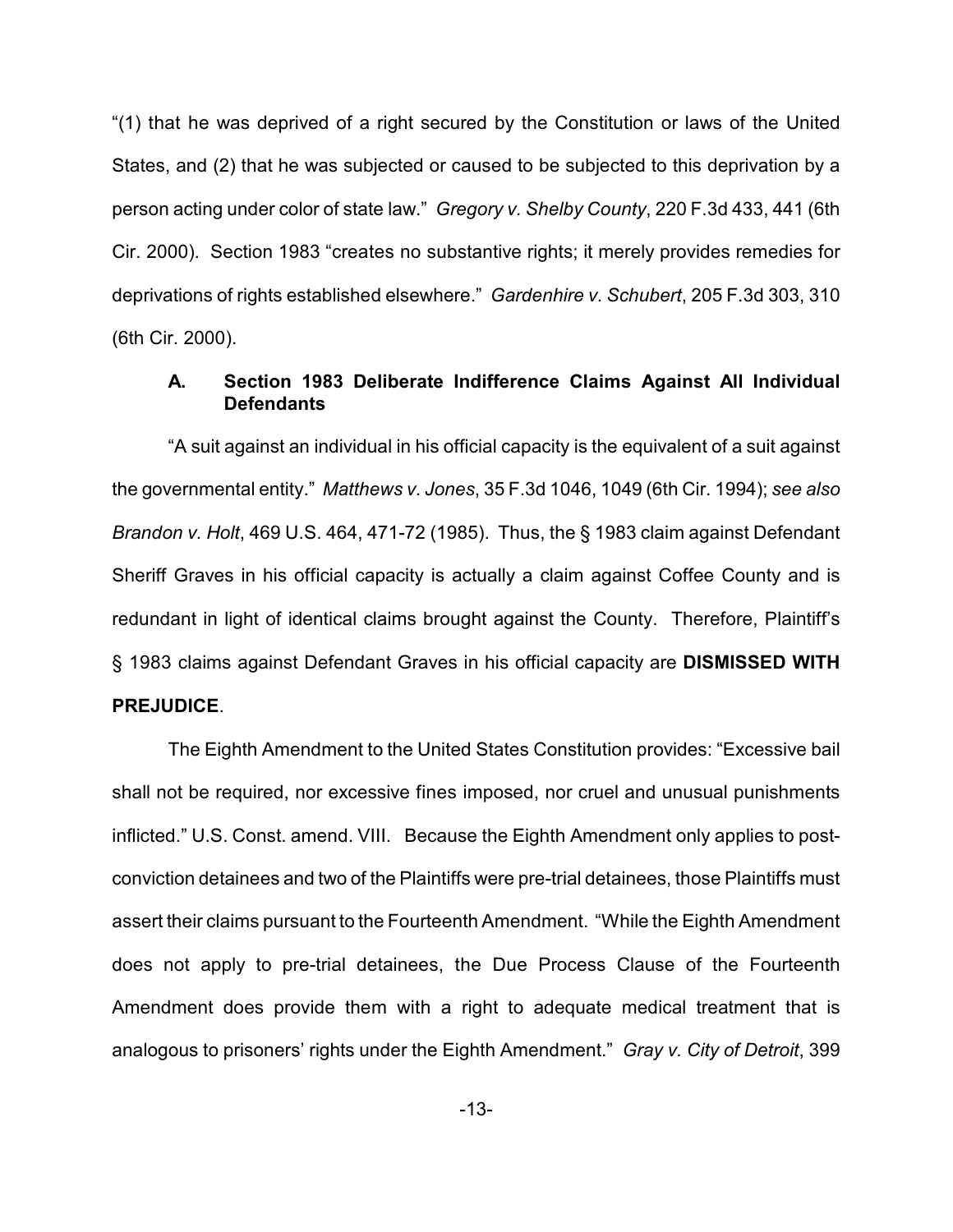"(1) that he was deprived of a right secured by the Constitution or laws of the United States, and (2) that he was subjected or caused to be subjected to this deprivation by a person acting under color of state law." *Gregory v. Shelby County*, 220 F.3d 433, 441 (6th Cir. 2000). Section 1983 "creates no substantive rights; it merely provides remedies for deprivations of rights established elsewhere." *Gardenhire v. Schubert*, 205 F.3d 303, 310 (6th Cir. 2000).

## **A. Section 1983 Deliberate Indifference Claims Against All Individual Defendants**

"A suit against an individual in his official capacity is the equivalent of a suit against the governmental entity." *Matthews v. Jones*, 35 F.3d 1046, 1049 (6th Cir. 1994); *see also Brandon v. Holt*, 469 U.S. 464, 471-72 (1985). Thus, the § 1983 claim against Defendant Sheriff Graves in his official capacity is actually a claim against Coffee County and is redundant in light of identical claims brought against the County. Therefore, Plaintiff's § 1983 claims against Defendant Graves in his official capacity are **DISMISSED WITH PREJUDICE**.

The Eighth Amendment to the United States Constitution provides: "Excessive bail shall not be required, nor excessive fines imposed, nor cruel and unusual punishments inflicted." U.S. Const. amend. VIII. Because the Eighth Amendment only applies to postconviction detainees and two of the Plaintiffs were pre-trial detainees, those Plaintiffs must assert their claims pursuant to the Fourteenth Amendment. "While the Eighth Amendment does not apply to pre-trial detainees, the Due Process Clause of the Fourteenth Amendment does provide them with a right to adequate medical treatment that is analogous to prisoners' rights under the Eighth Amendment." *Gray v. City of Detroit*, 399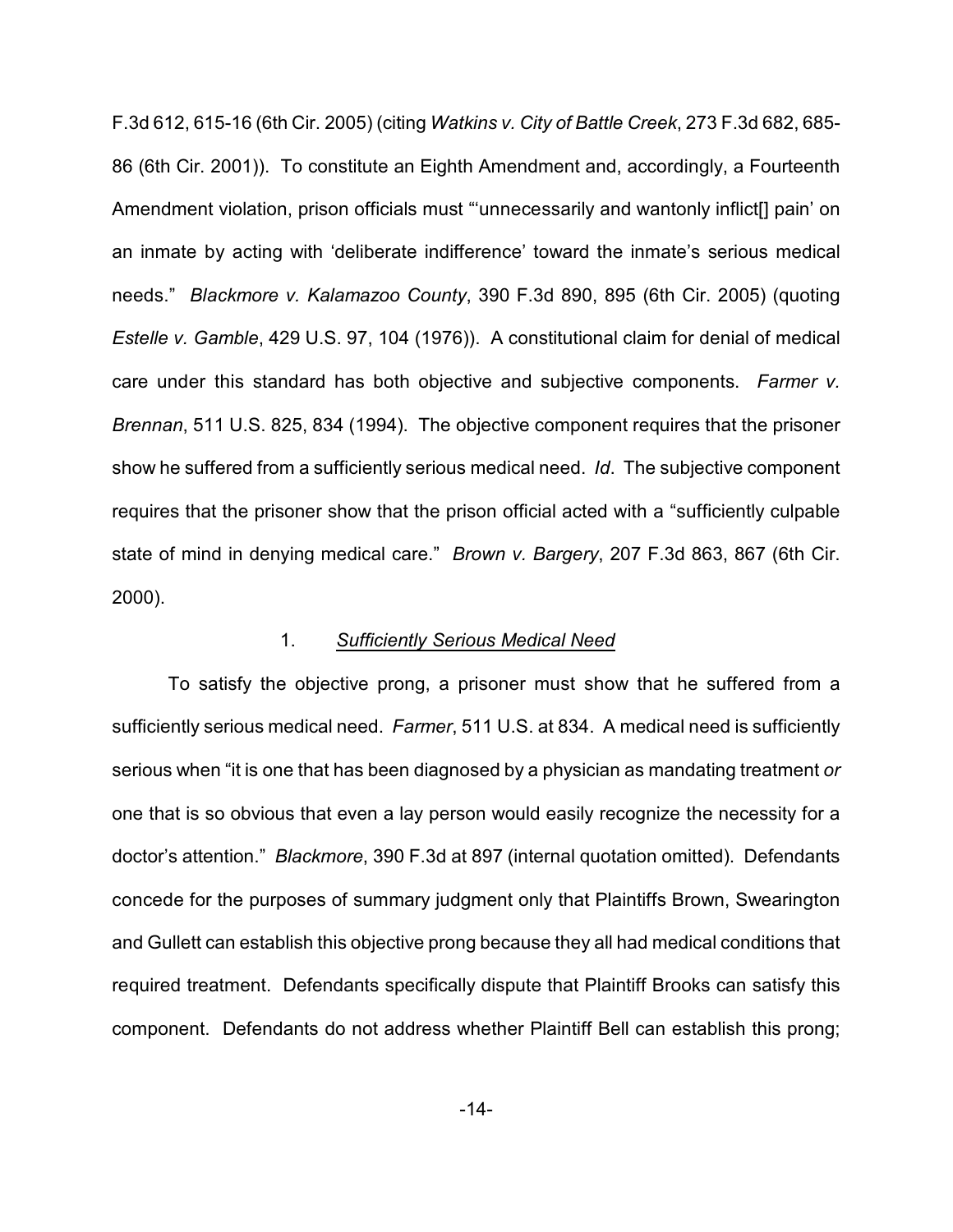F.3d 612, 615-16 (6th Cir. 2005) (citing *Watkins v. City of Battle Creek*, 273 F.3d 682, 685- 86 (6th Cir. 2001)). To constitute an Eighth Amendment and, accordingly, a Fourteenth Amendment violation, prison officials must "'unnecessarily and wantonly inflict[] pain' on an inmate by acting with 'deliberate indifference' toward the inmate's serious medical needs." *Blackmore v. Kalamazoo County*, 390 F.3d 890, 895 (6th Cir. 2005) (quoting *Estelle v. Gamble*, 429 U.S. 97, 104 (1976)). A constitutional claim for denial of medical care under this standard has both objective and subjective components. *Farmer v. Brennan*, 511 U.S. 825, 834 (1994). The objective component requires that the prisoner show he suffered from a sufficiently serious medical need. *Id*. The subjective component requires that the prisoner show that the prison official acted with a "sufficiently culpable state of mind in denying medical care." *Brown v. Bargery*, 207 F.3d 863, 867 (6th Cir. 2000).

## 1. *Sufficiently Serious Medical Need*

To satisfy the objective prong, a prisoner must show that he suffered from a sufficiently serious medical need. *Farmer*, 511 U.S. at 834. A medical need is sufficiently serious when "it is one that has been diagnosed by a physician as mandating treatment *or* one that is so obvious that even a lay person would easily recognize the necessity for a doctor's attention." *Blackmore*, 390 F.3d at 897 (internal quotation omitted). Defendants concede for the purposes of summary judgment only that Plaintiffs Brown, Swearington and Gullett can establish this objective prong because they all had medical conditions that required treatment. Defendants specifically dispute that Plaintiff Brooks can satisfy this component. Defendants do not address whether Plaintiff Bell can establish this prong;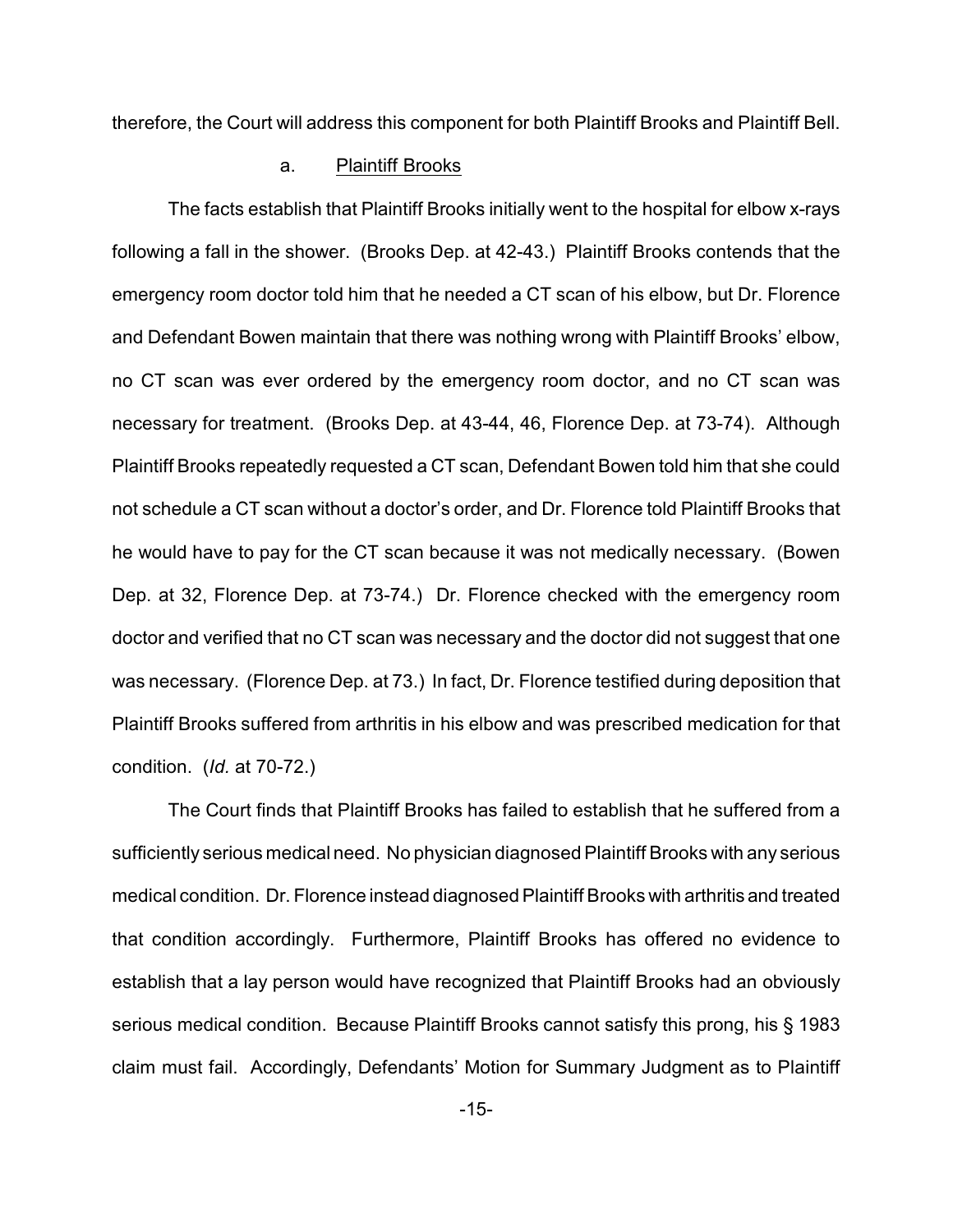therefore, the Court will address this component for both Plaintiff Brooks and Plaintiff Bell.

## a. Plaintiff Brooks

The facts establish that Plaintiff Brooks initially went to the hospital for elbow x-rays following a fall in the shower. (Brooks Dep. at 42-43.) Plaintiff Brooks contends that the emergency room doctor told him that he needed a CT scan of his elbow, but Dr. Florence and Defendant Bowen maintain that there was nothing wrong with Plaintiff Brooks' elbow, no CT scan was ever ordered by the emergency room doctor, and no CT scan was necessary for treatment. (Brooks Dep. at 43-44, 46, Florence Dep. at 73-74). Although Plaintiff Brooks repeatedly requested a CT scan, Defendant Bowen told him that she could not schedule a CT scan without a doctor's order, and Dr. Florence told Plaintiff Brooks that he would have to pay for the CT scan because it was not medically necessary. (Bowen Dep. at 32, Florence Dep. at 73-74.) Dr. Florence checked with the emergency room doctor and verified that no CT scan was necessary and the doctor did not suggest that one was necessary. (Florence Dep. at 73.) In fact, Dr. Florence testified during deposition that Plaintiff Brooks suffered from arthritis in his elbow and was prescribed medication for that condition. (*Id.* at 70-72.)

The Court finds that Plaintiff Brooks has failed to establish that he suffered from a sufficiently serious medical need. No physician diagnosed Plaintiff Brooks with any serious medical condition. Dr. Florence instead diagnosed Plaintiff Brooks with arthritis and treated that condition accordingly. Furthermore, Plaintiff Brooks has offered no evidence to establish that a lay person would have recognized that Plaintiff Brooks had an obviously serious medical condition. Because Plaintiff Brooks cannot satisfy this prong, his § 1983 claim must fail. Accordingly, Defendants' Motion for Summary Judgment as to Plaintiff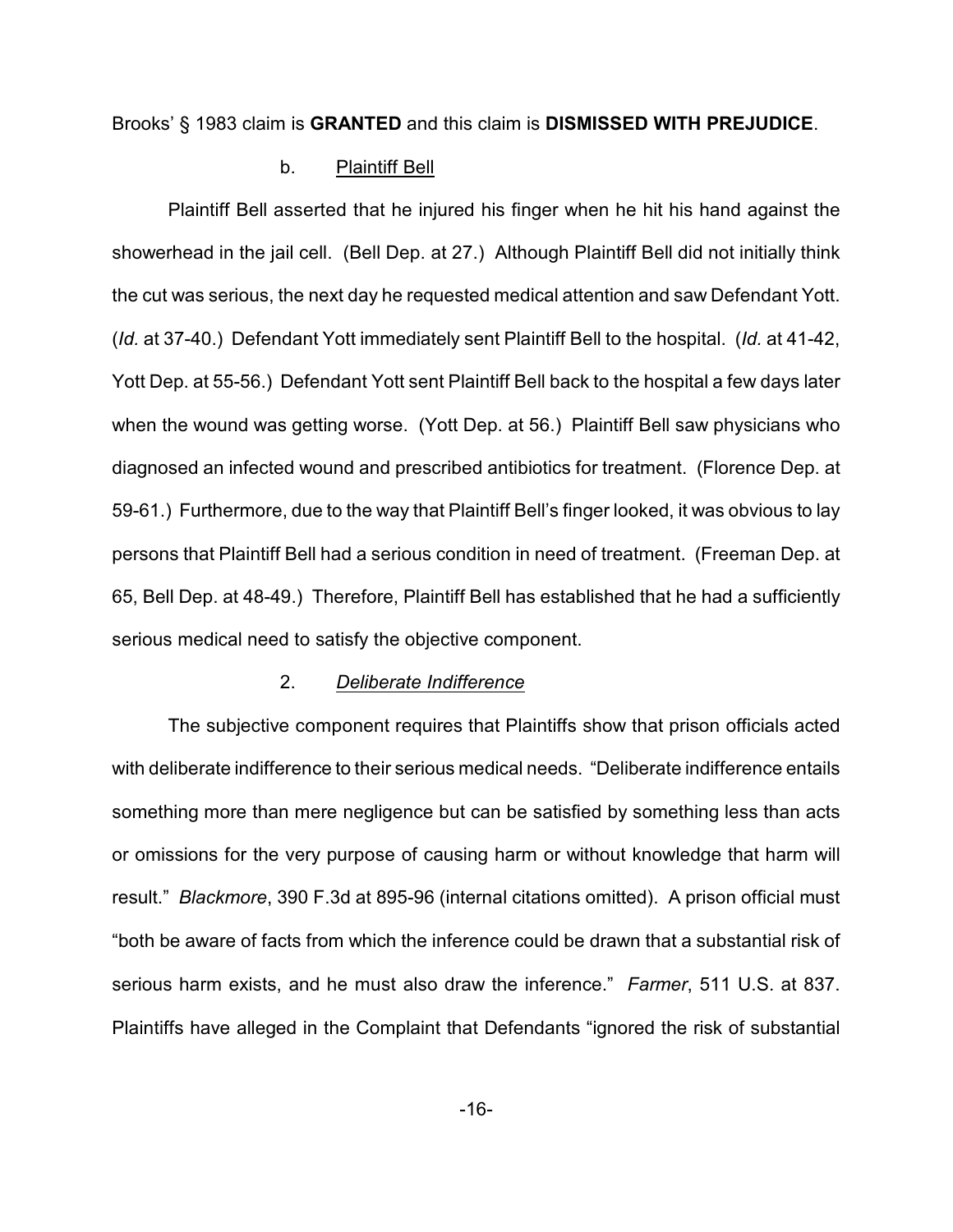Brooks' § 1983 claim is **GRANTED** and this claim is **DISMISSED WITH PREJUDICE**.

# b. Plaintiff Bell

Plaintiff Bell asserted that he injured his finger when he hit his hand against the showerhead in the jail cell. (Bell Dep. at 27.) Although Plaintiff Bell did not initially think the cut was serious, the next day he requested medical attention and saw Defendant Yott. (*Id.* at 37-40.) Defendant Yott immediately sent Plaintiff Bell to the hospital. (*Id.* at 41-42, Yott Dep. at 55-56.) Defendant Yott sent Plaintiff Bell back to the hospital a few days later when the wound was getting worse. (Yott Dep. at 56.) Plaintiff Bell saw physicians who diagnosed an infected wound and prescribed antibiotics for treatment. (Florence Dep. at 59-61.) Furthermore, due to the way that Plaintiff Bell's finger looked, it was obvious to lay persons that Plaintiff Bell had a serious condition in need of treatment. (Freeman Dep. at 65, Bell Dep. at 48-49.) Therefore, Plaintiff Bell has established that he had a sufficiently serious medical need to satisfy the objective component.

#### 2. *Deliberate Indifference*

The subjective component requires that Plaintiffs show that prison officials acted with deliberate indifference to their serious medical needs. "Deliberate indifference entails something more than mere negligence but can be satisfied by something less than acts or omissions for the very purpose of causing harm or without knowledge that harm will result." *Blackmore*, 390 F.3d at 895-96 (internal citations omitted). A prison official must "both be aware of facts from which the inference could be drawn that a substantial risk of serious harm exists, and he must also draw the inference." *Farmer*, 511 U.S. at 837. Plaintiffs have alleged in the Complaint that Defendants "ignored the risk of substantial

-16-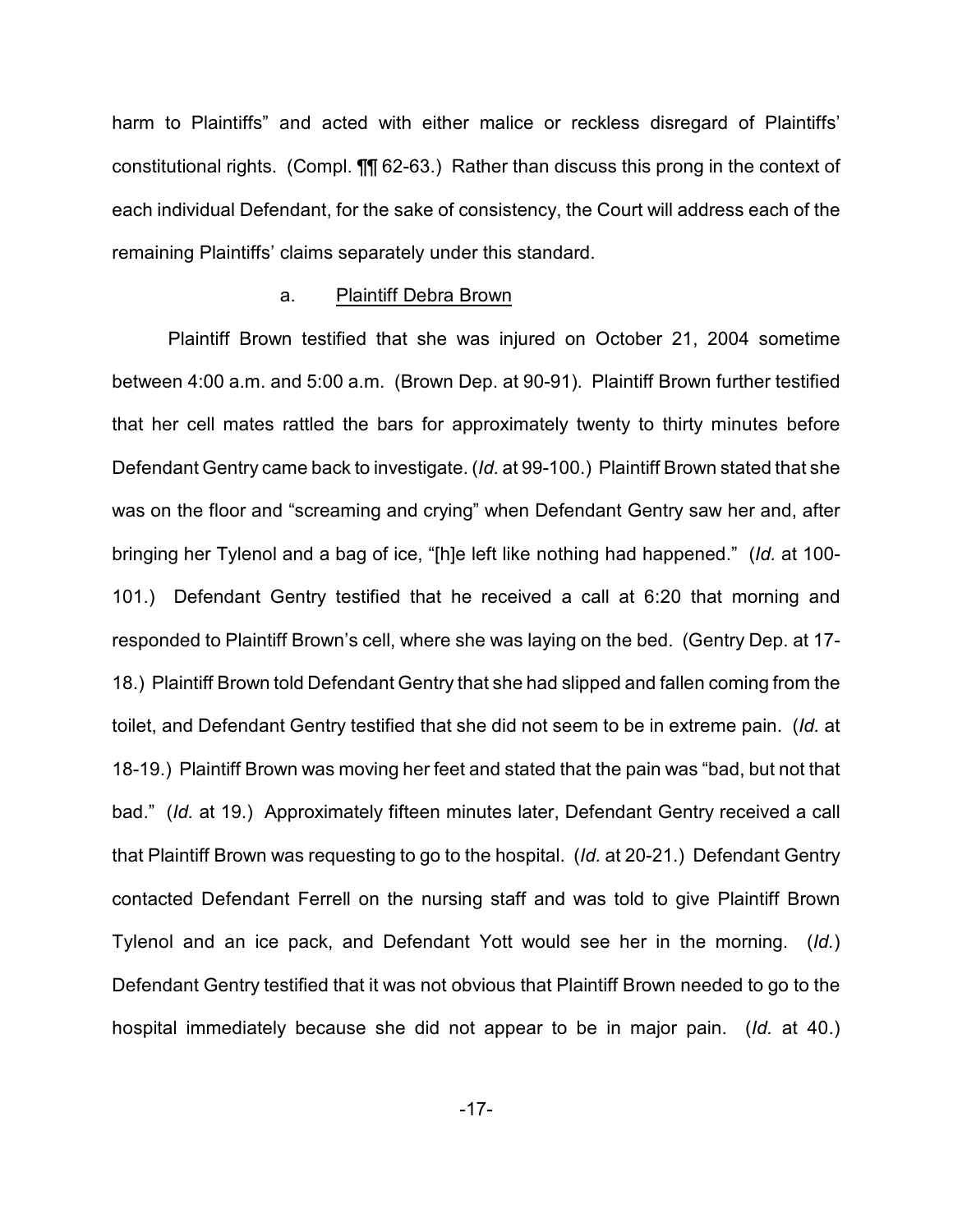harm to Plaintiffs" and acted with either malice or reckless disregard of Plaintiffs' constitutional rights. (Compl. ¶¶ 62-63.)Rather than discuss this prong in the context of each individual Defendant, for the sake of consistency, the Court will address each of the remaining Plaintiffs' claims separately under this standard.

#### a. Plaintiff Debra Brown

Plaintiff Brown testified that she was injured on October 21, 2004 sometime between 4:00 a.m. and 5:00 a.m. (Brown Dep. at 90-91). Plaintiff Brown further testified that her cell mates rattled the bars for approximately twenty to thirty minutes before Defendant Gentry came back to investigate. (*Id.* at 99-100.) Plaintiff Brown stated that she was on the floor and "screaming and crying" when Defendant Gentry saw her and, after bringing her Tylenol and a bag of ice, "[h]e left like nothing had happened." (*Id.* at 100- 101.) Defendant Gentry testified that he received a call at 6:20 that morning and responded to Plaintiff Brown's cell, where she was laying on the bed. (Gentry Dep. at 17- 18.) Plaintiff Brown told Defendant Gentry that she had slipped and fallen coming from the toilet, and Defendant Gentry testified that she did not seem to be in extreme pain. (*Id.* at 18-19.) Plaintiff Brown was moving her feet and stated that the pain was "bad, but not that bad." (*Id.* at 19.) Approximately fifteen minutes later, Defendant Gentry received a call that Plaintiff Brown was requesting to go to the hospital. (*Id.* at 20-21.) Defendant Gentry contacted Defendant Ferrell on the nursing staff and was told to give Plaintiff Brown Tylenol and an ice pack, and Defendant Yott would see her in the morning. (*Id.*) Defendant Gentry testified that it was not obvious that Plaintiff Brown needed to go to the hospital immediately because she did not appear to be in major pain. (*Id.* at 40.)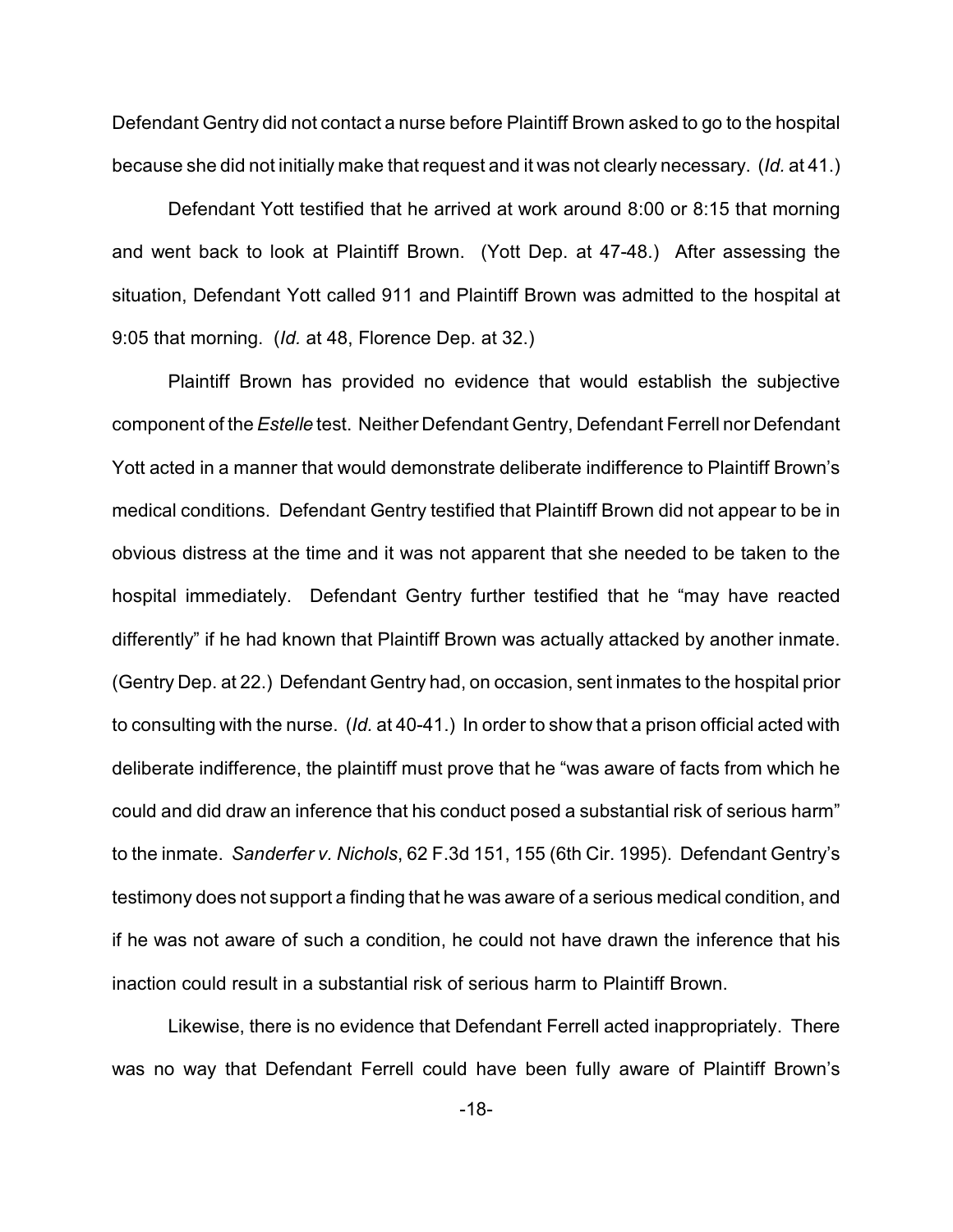Defendant Gentry did not contact a nurse before Plaintiff Brown asked to go to the hospital because she did not initially make that request and it was not clearly necessary. (*Id.* at 41.)

Defendant Yott testified that he arrived at work around 8:00 or 8:15 that morning and went back to look at Plaintiff Brown. (Yott Dep. at 47-48.) After assessing the situation, Defendant Yott called 911 and Plaintiff Brown was admitted to the hospital at 9:05 that morning. (*Id.* at 48, Florence Dep. at 32.)

Plaintiff Brown has provided no evidence that would establish the subjective component of the *Estelle* test. Neither Defendant Gentry, Defendant Ferrell nor Defendant Yott acted in a manner that would demonstrate deliberate indifference to Plaintiff Brown's medical conditions. Defendant Gentry testified that Plaintiff Brown did not appear to be in obvious distress at the time and it was not apparent that she needed to be taken to the hospital immediately. Defendant Gentry further testified that he "may have reacted differently" if he had known that Plaintiff Brown was actually attacked by another inmate. (Gentry Dep. at 22.) Defendant Gentry had, on occasion, sent inmates to the hospital prior to consulting with the nurse. (*Id.* at 40-41.) In order to show that a prison official acted with deliberate indifference, the plaintiff must prove that he "was aware of facts from which he could and did draw an inference that his conduct posed a substantial risk of serious harm" to the inmate. *Sanderfer v. Nichols*, 62 F.3d 151, 155 (6th Cir. 1995). Defendant Gentry's testimony does not support a finding that he was aware of a serious medical condition, and if he was not aware of such a condition, he could not have drawn the inference that his inaction could result in a substantial risk of serious harm to Plaintiff Brown.

Likewise, there is no evidence that Defendant Ferrell acted inappropriately. There was no way that Defendant Ferrell could have been fully aware of Plaintiff Brown's

-18-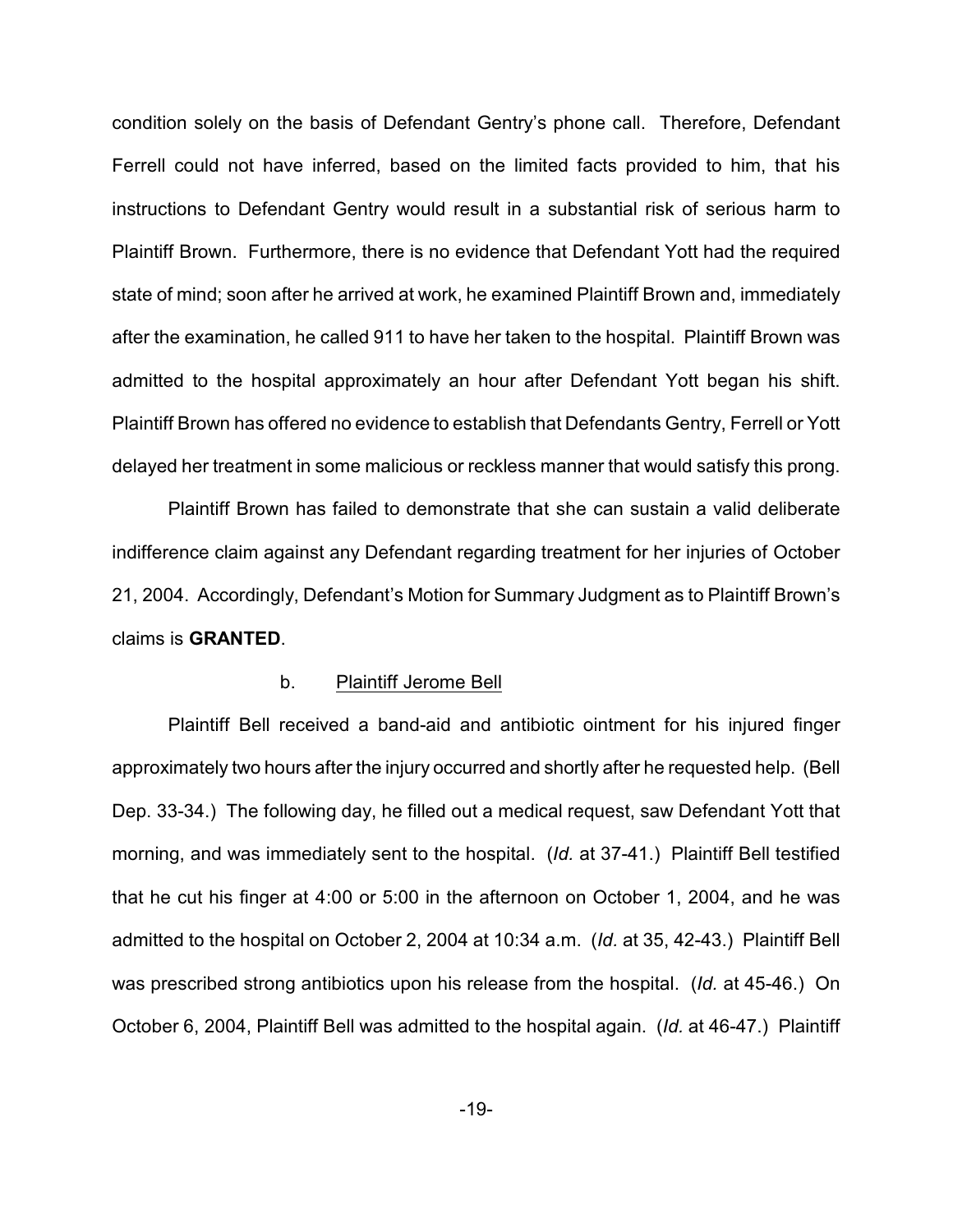condition solely on the basis of Defendant Gentry's phone call. Therefore, Defendant Ferrell could not have inferred, based on the limited facts provided to him, that his instructions to Defendant Gentry would result in a substantial risk of serious harm to Plaintiff Brown. Furthermore, there is no evidence that Defendant Yott had the required state of mind; soon after he arrived at work, he examined Plaintiff Brown and, immediately after the examination, he called 911 to have her taken to the hospital. Plaintiff Brown was admitted to the hospital approximately an hour after Defendant Yott began his shift. Plaintiff Brown has offered no evidence to establish that Defendants Gentry, Ferrell or Yott delayed her treatment in some malicious or reckless manner that would satisfy this prong.

Plaintiff Brown has failed to demonstrate that she can sustain a valid deliberate indifference claim against any Defendant regarding treatment for her injuries of October 21, 2004. Accordingly, Defendant's Motion for Summary Judgment as to Plaintiff Brown's claims is **GRANTED**.

#### b. Plaintiff Jerome Bell

Plaintiff Bell received a band-aid and antibiotic ointment for his injured finger approximately two hours after the injury occurred and shortly after he requested help. (Bell Dep. 33-34.) The following day, he filled out a medical request, saw Defendant Yott that morning, and was immediately sent to the hospital. (*Id.* at 37-41.) Plaintiff Bell testified that he cut his finger at 4:00 or 5:00 in the afternoon on October 1, 2004, and he was admitted to the hospital on October 2, 2004 at 10:34 a.m. (*Id.* at 35, 42-43.) Plaintiff Bell was prescribed strong antibiotics upon his release from the hospital. (*Id.* at 45-46.) On October 6, 2004, Plaintiff Bell was admitted to the hospital again. (*Id.* at 46-47.) Plaintiff

-19-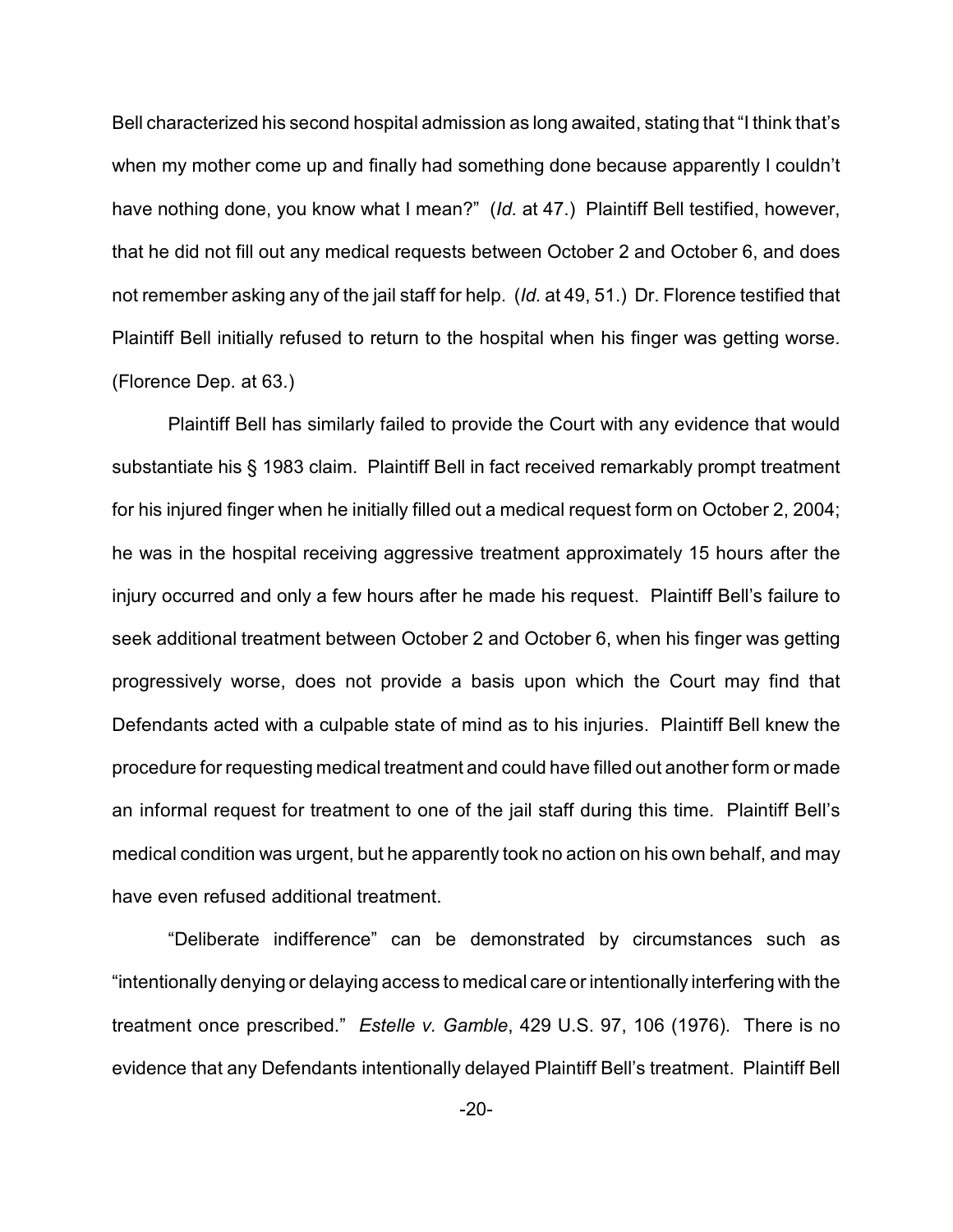Bell characterized his second hospital admission as long awaited, stating that "I think that's when my mother come up and finally had something done because apparently I couldn't have nothing done, you know what I mean?" (*Id.* at 47.) Plaintiff Bell testified, however, that he did not fill out any medical requests between October 2 and October 6, and does not remember asking any of the jail staff for help. (*Id.* at 49, 51.) Dr. Florence testified that Plaintiff Bell initially refused to return to the hospital when his finger was getting worse. (Florence Dep. at 63.)

Plaintiff Bell has similarly failed to provide the Court with any evidence that would substantiate his § 1983 claim. Plaintiff Bell in fact received remarkably prompt treatment for his injured finger when he initially filled out a medical request form on October 2, 2004; he was in the hospital receiving aggressive treatment approximately 15 hours after the injury occurred and only a few hours after he made his request. Plaintiff Bell's failure to seek additional treatment between October 2 and October 6, when his finger was getting progressively worse, does not provide a basis upon which the Court may find that Defendants acted with a culpable state of mind as to his injuries. Plaintiff Bell knew the procedure for requesting medical treatment and could have filled out another form or made an informal request for treatment to one of the jail staff during this time. Plaintiff Bell's medical condition was urgent, but he apparently took no action on his own behalf, and may have even refused additional treatment.

"Deliberate indifference" can be demonstrated by circumstances such as "intentionally denying or delaying access to medical care or intentionally interfering with the treatment once prescribed." *Estelle v. Gamble*, 429 U.S. 97, 106 (1976). There is no evidence that any Defendants intentionally delayed Plaintiff Bell's treatment. Plaintiff Bell

-20-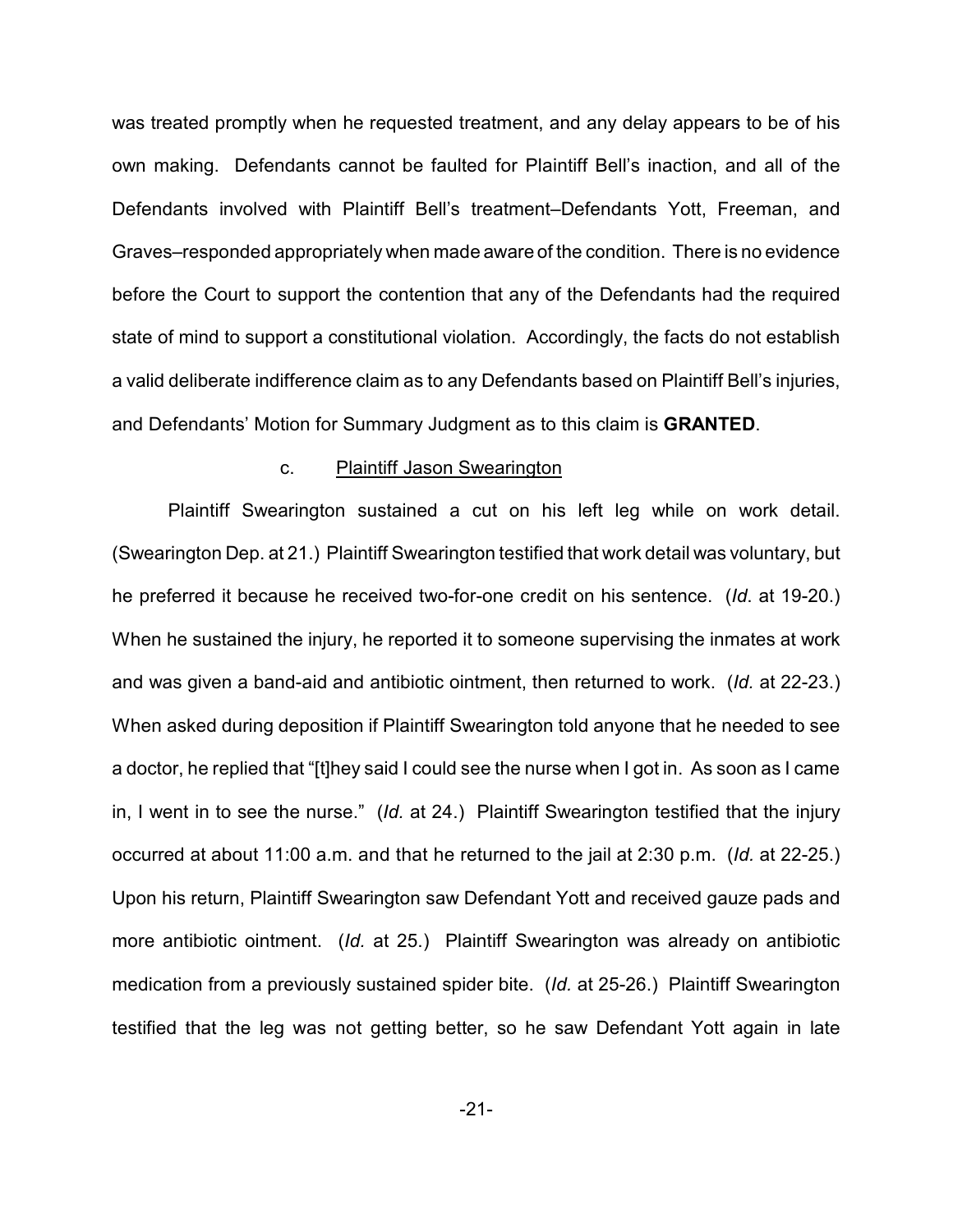was treated promptly when he requested treatment, and any delay appears to be of his own making. Defendants cannot be faulted for Plaintiff Bell's inaction, and all of the Defendants involved with Plaintiff Bell's treatment–Defendants Yott, Freeman, and Graves–responded appropriately when made aware of the condition. There is no evidence before the Court to support the contention that any of the Defendants had the required state of mind to support a constitutional violation. Accordingly, the facts do not establish a valid deliberate indifference claim as to any Defendants based on Plaintiff Bell's injuries, and Defendants' Motion for Summary Judgment as to this claim is **GRANTED**.

#### c. Plaintiff Jason Swearington

Plaintiff Swearington sustained a cut on his left leg while on work detail. (Swearington Dep. at 21.) Plaintiff Swearington testified that work detail was voluntary, but he preferred it because he received two-for-one credit on his sentence. (*Id*. at 19-20.) When he sustained the injury, he reported it to someone supervising the inmates at work and was given a band-aid and antibiotic ointment, then returned to work. (*Id.* at 22-23.) When asked during deposition if Plaintiff Swearington told anyone that he needed to see a doctor, he replied that "[t]hey said I could see the nurse when I got in. As soon as I came in, I went in to see the nurse." (*Id.* at 24.) Plaintiff Swearington testified that the injury occurred at about 11:00 a.m. and that he returned to the jail at 2:30 p.m. (*Id.* at 22-25.) Upon his return, Plaintiff Swearington saw Defendant Yott and received gauze pads and more antibiotic ointment. (*Id.* at 25.) Plaintiff Swearington was already on antibiotic medication from a previously sustained spider bite. (*Id.* at 25-26.) Plaintiff Swearington testified that the leg was not getting better, so he saw Defendant Yott again in late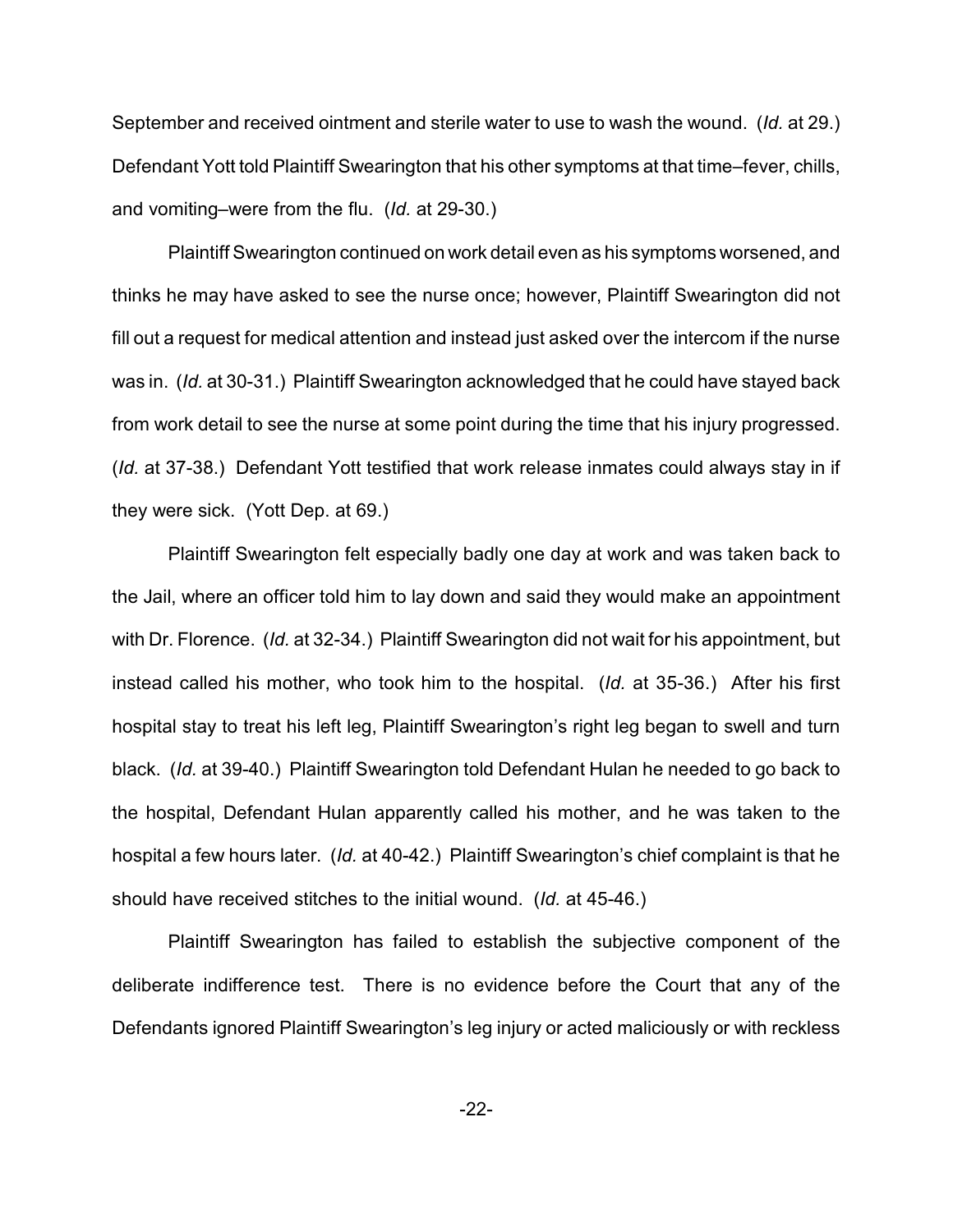September and received ointment and sterile water to use to wash the wound. (*Id.* at 29.) Defendant Yott told Plaintiff Swearington that his other symptoms at that time–fever, chills, and vomiting–were from the flu. (*Id.* at 29-30.)

Plaintiff Swearington continued on work detail even as his symptoms worsened, and thinks he may have asked to see the nurse once; however, Plaintiff Swearington did not fill out a request for medical attention and instead just asked over the intercom if the nurse was in. (*Id.* at 30-31.) Plaintiff Swearington acknowledged that he could have stayed back from work detail to see the nurse at some point during the time that his injury progressed. (*Id.* at 37-38.) Defendant Yott testified that work release inmates could always stay in if they were sick. (Yott Dep. at 69.)

Plaintiff Swearington felt especially badly one day at work and was taken back to the Jail, where an officer told him to lay down and said they would make an appointment with Dr. Florence. (*Id.* at 32-34.) Plaintiff Swearington did not wait for his appointment, but instead called his mother, who took him to the hospital. (*Id.* at 35-36.) After his first hospital stay to treat his left leg, Plaintiff Swearington's right leg began to swell and turn black. (*Id.* at 39-40.) Plaintiff Swearington told Defendant Hulan he needed to go back to the hospital, Defendant Hulan apparently called his mother, and he was taken to the hospital a few hours later. (*Id.* at 40-42.) Plaintiff Swearington's chief complaint is that he should have received stitches to the initial wound. (*Id.* at 45-46.)

Plaintiff Swearington has failed to establish the subjective component of the deliberate indifference test. There is no evidence before the Court that any of the Defendants ignored Plaintiff Swearington's leg injury or acted maliciously or with reckless

-22-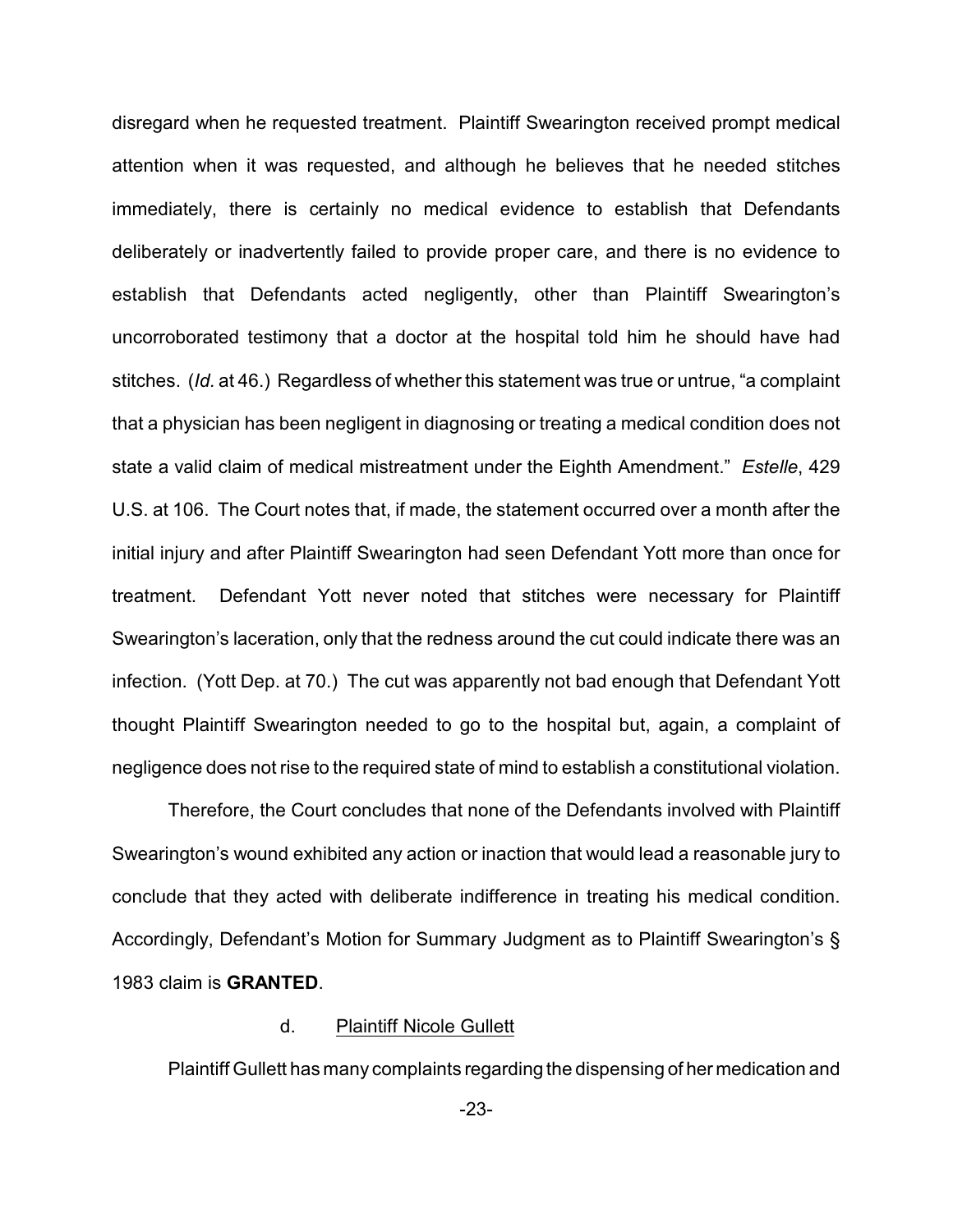disregard when he requested treatment. Plaintiff Swearington received prompt medical attention when it was requested, and although he believes that he needed stitches immediately, there is certainly no medical evidence to establish that Defendants deliberately or inadvertently failed to provide proper care, and there is no evidence to establish that Defendants acted negligently, other than Plaintiff Swearington's uncorroborated testimony that a doctor at the hospital told him he should have had stitches. (*Id.* at 46.) Regardless of whether this statement was true or untrue, "a complaint that a physician has been negligent in diagnosing or treating a medical condition does not state a valid claim of medical mistreatment under the Eighth Amendment." *Estelle*, 429 U.S. at 106. The Court notes that, if made, the statement occurred over a month after the initial injury and after Plaintiff Swearington had seen Defendant Yott more than once for treatment. Defendant Yott never noted that stitches were necessary for Plaintiff Swearington's laceration, only that the redness around the cut could indicate there was an infection. (Yott Dep. at 70.) The cut was apparently not bad enough that Defendant Yott thought Plaintiff Swearington needed to go to the hospital but, again, a complaint of negligence does not rise to the required state of mind to establish a constitutional violation.

Therefore, the Court concludes that none of the Defendants involved with Plaintiff Swearington's wound exhibited any action or inaction that would lead a reasonable jury to conclude that they acted with deliberate indifference in treating his medical condition. Accordingly, Defendant's Motion for Summary Judgment as to Plaintiff Swearington's § 1983 claim is **GRANTED**.

# d. Plaintiff Nicole Gullett

Plaintiff Gullett has many complaints regarding the dispensing of her medication and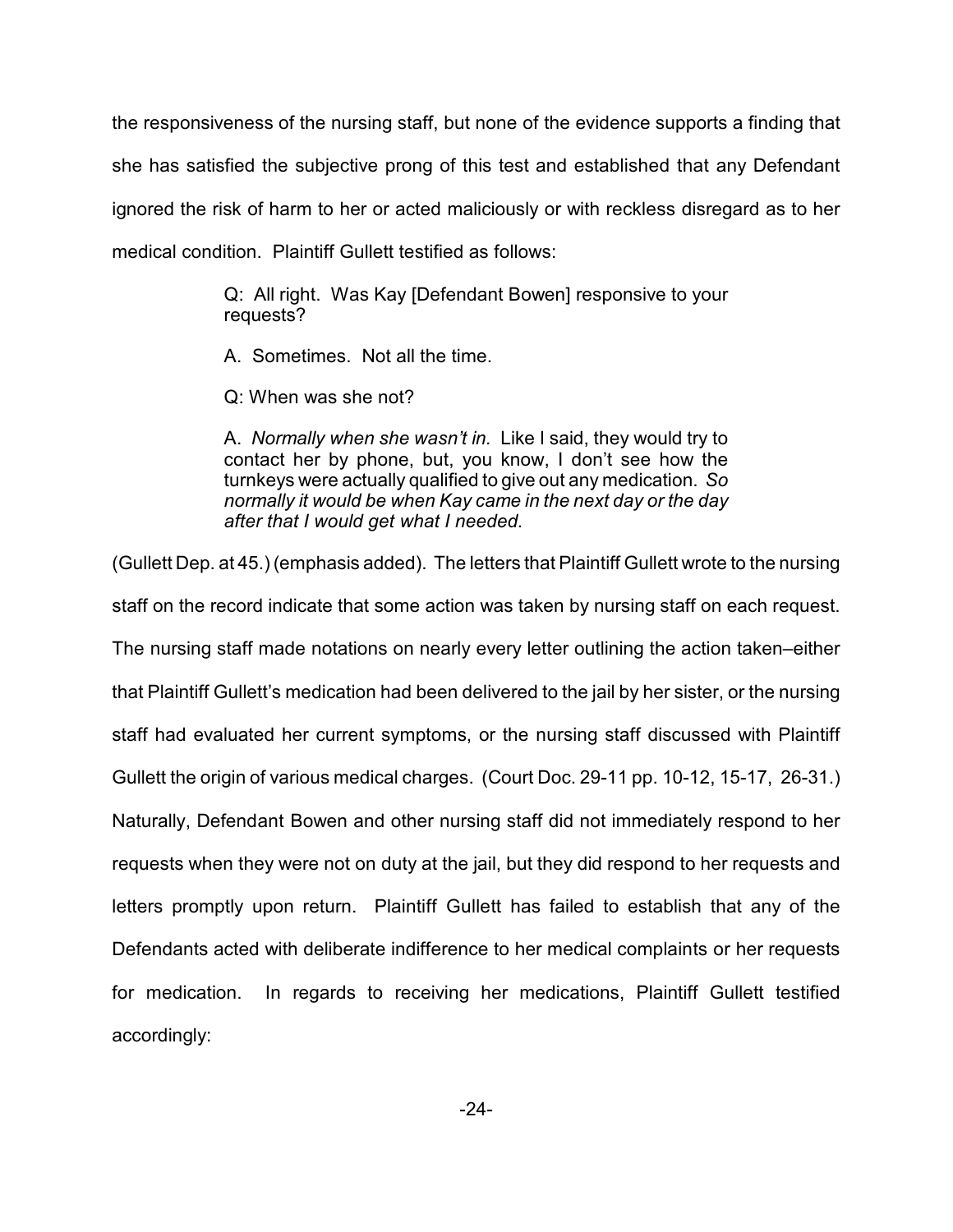the responsiveness of the nursing staff, but none of the evidence supports a finding that she has satisfied the subjective prong of this test and established that any Defendant ignored the risk of harm to her or acted maliciously or with reckless disregard as to her medical condition. Plaintiff Gullett testified as follows:

> Q: All right. Was Kay [Defendant Bowen] responsive to your requests?

A. Sometimes. Not all the time.

Q: When was she not?

A. *Normally when she wasn't in.* Like I said, they would try to contact her by phone, but, you know, I don't see how the turnkeys were actually qualified to give out any medication. *So normally it would be when Kay came in the next day or the day after that I would get what I needed.* 

(Gullett Dep. at 45.) (emphasis added). The letters that Plaintiff Gullett wrote to the nursing staff on the record indicate that some action was taken by nursing staff on each request. The nursing staff made notations on nearly every letter outlining the action taken–either that Plaintiff Gullett's medication had been delivered to the jail by her sister, or the nursing staff had evaluated her current symptoms, or the nursing staff discussed with Plaintiff Gullett the origin of various medical charges. (Court Doc. 29-11 pp. 10-12, 15-17, 26-31.) Naturally, Defendant Bowen and other nursing staff did not immediately respond to her requests when they were not on duty at the jail, but they did respond to her requests and letters promptly upon return. Plaintiff Gullett has failed to establish that any of the Defendants acted with deliberate indifference to her medical complaints or her requests for medication. In regards to receiving her medications, Plaintiff Gullett testified accordingly: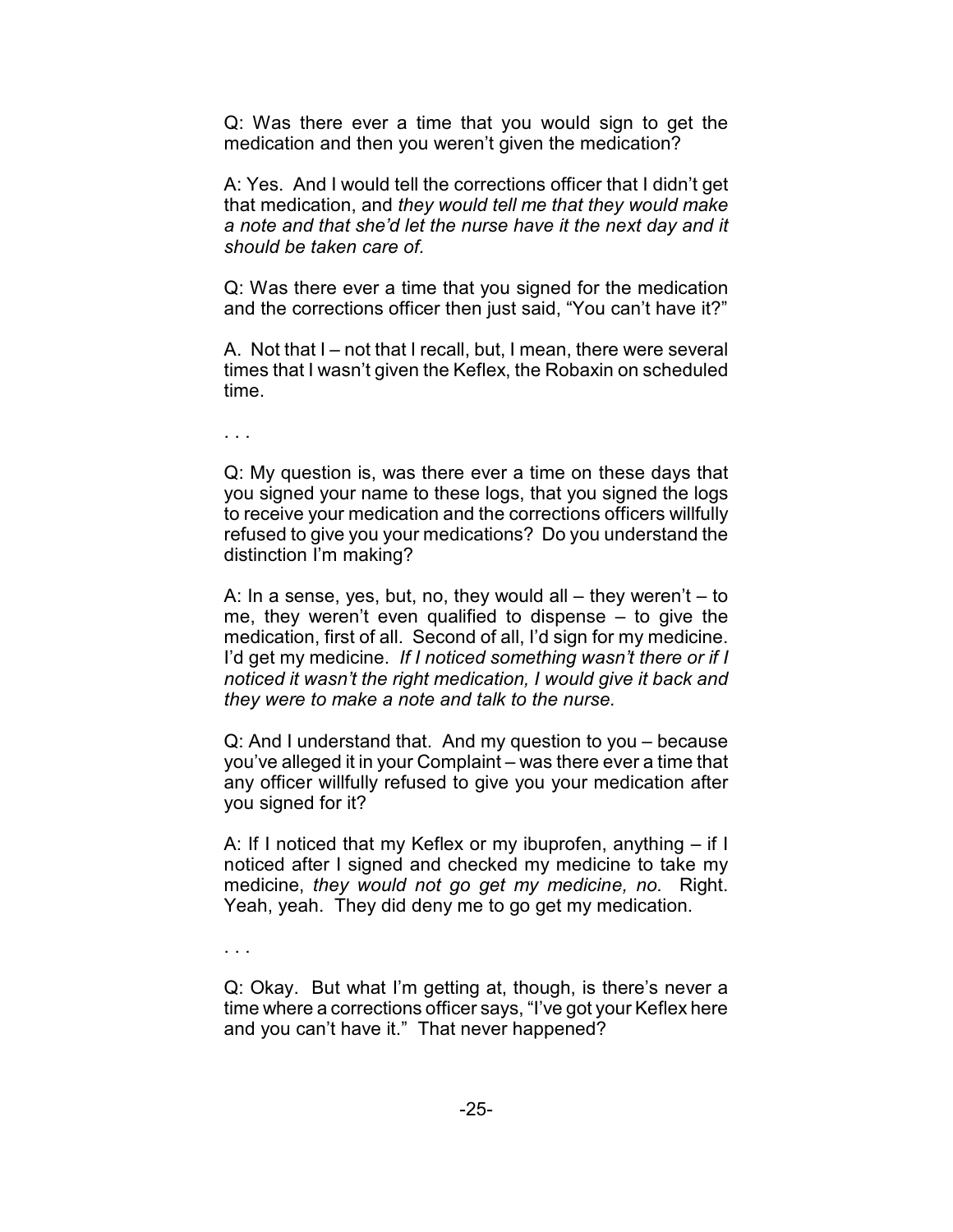Q: Was there ever a time that you would sign to get the medication and then you weren't given the medication?

A: Yes. And I would tell the corrections officer that I didn't get that medication, and *they would tell me that they would make a note and that she'd let the nurse have it the next day and it should be taken care of.*

Q: Was there ever a time that you signed for the medication and the corrections officer then just said, "You can't have it?"

A. Not that I – not that I recall, but, I mean, there were several times that I wasn't given the Keflex, the Robaxin on scheduled time.

. . .

Q: My question is, was there ever a time on these days that you signed your name to these logs, that you signed the logs to receive your medication and the corrections officers willfully refused to give you your medications? Do you understand the distinction I'm making?

A: In a sense, yes, but, no, they would all – they weren't – to me, they weren't even qualified to dispense – to give the medication, first of all. Second of all, I'd sign for my medicine. I'd get my medicine. *If I noticed something wasn't there or if I noticed it wasn't the right medication, I would give it back and they were to make a note and talk to the nurse.*

Q: And I understand that. And my question to you – because you've alleged it in your Complaint – was there ever a time that any officer willfully refused to give you your medication after you signed for it?

A: If I noticed that my Keflex or my ibuprofen, anything – if I noticed after I signed and checked my medicine to take my medicine, *they would not go get my medicine, no.* Right. Yeah, yeah. They did deny me to go get my medication.

. . .

Q: Okay. But what I'm getting at, though, is there's never a time where a corrections officer says, "I've got your Keflex here and you can't have it." That never happened?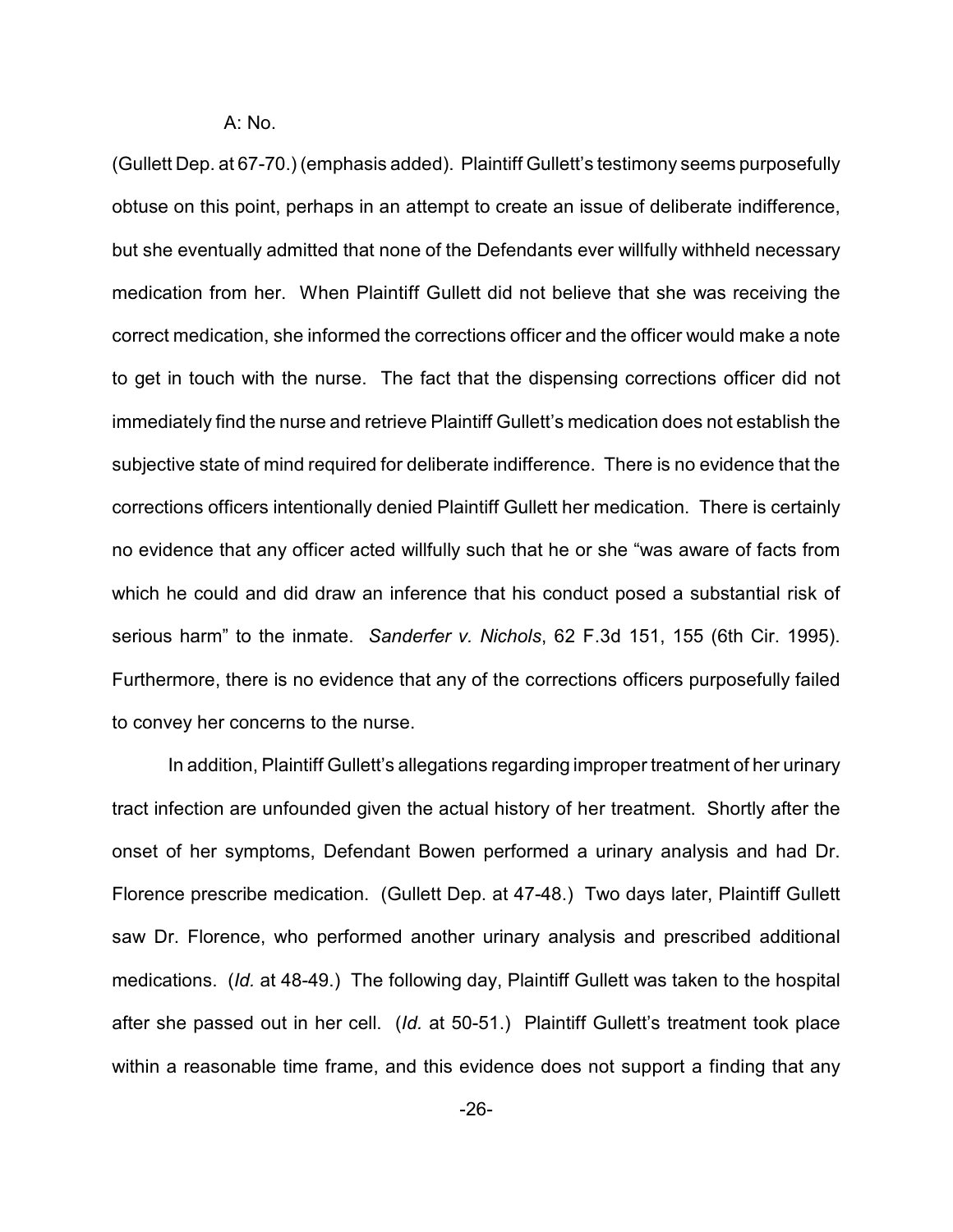A: No.

(Gullett Dep. at 67-70.) (emphasis added). Plaintiff Gullett's testimony seems purposefully obtuse on this point, perhaps in an attempt to create an issue of deliberate indifference, but she eventually admitted that none of the Defendants ever willfully withheld necessary medication from her. When Plaintiff Gullett did not believe that she was receiving the correct medication, she informed the corrections officer and the officer would make a note to get in touch with the nurse. The fact that the dispensing corrections officer did not immediately find the nurse and retrieve Plaintiff Gullett's medication does not establish the subjective state of mind required for deliberate indifference. There is no evidence that the corrections officers intentionally denied Plaintiff Gullett her medication. There is certainly no evidence that any officer acted willfully such that he or she "was aware of facts from which he could and did draw an inference that his conduct posed a substantial risk of serious harm" to the inmate. *Sanderfer v. Nichols*, 62 F.3d 151, 155 (6th Cir. 1995). Furthermore, there is no evidence that any of the corrections officers purposefully failed to convey her concerns to the nurse.

In addition, Plaintiff Gullett's allegations regarding improper treatment of her urinary tract infection are unfounded given the actual history of her treatment. Shortly after the onset of her symptoms, Defendant Bowen performed a urinary analysis and had Dr. Florence prescribe medication. (Gullett Dep. at 47-48.) Two days later, Plaintiff Gullett saw Dr. Florence, who performed another urinary analysis and prescribed additional medications. (*Id.* at 48-49.) The following day, Plaintiff Gullett was taken to the hospital after she passed out in her cell. (*Id.* at 50-51.) Plaintiff Gullett's treatment took place within a reasonable time frame, and this evidence does not support a finding that any

-26-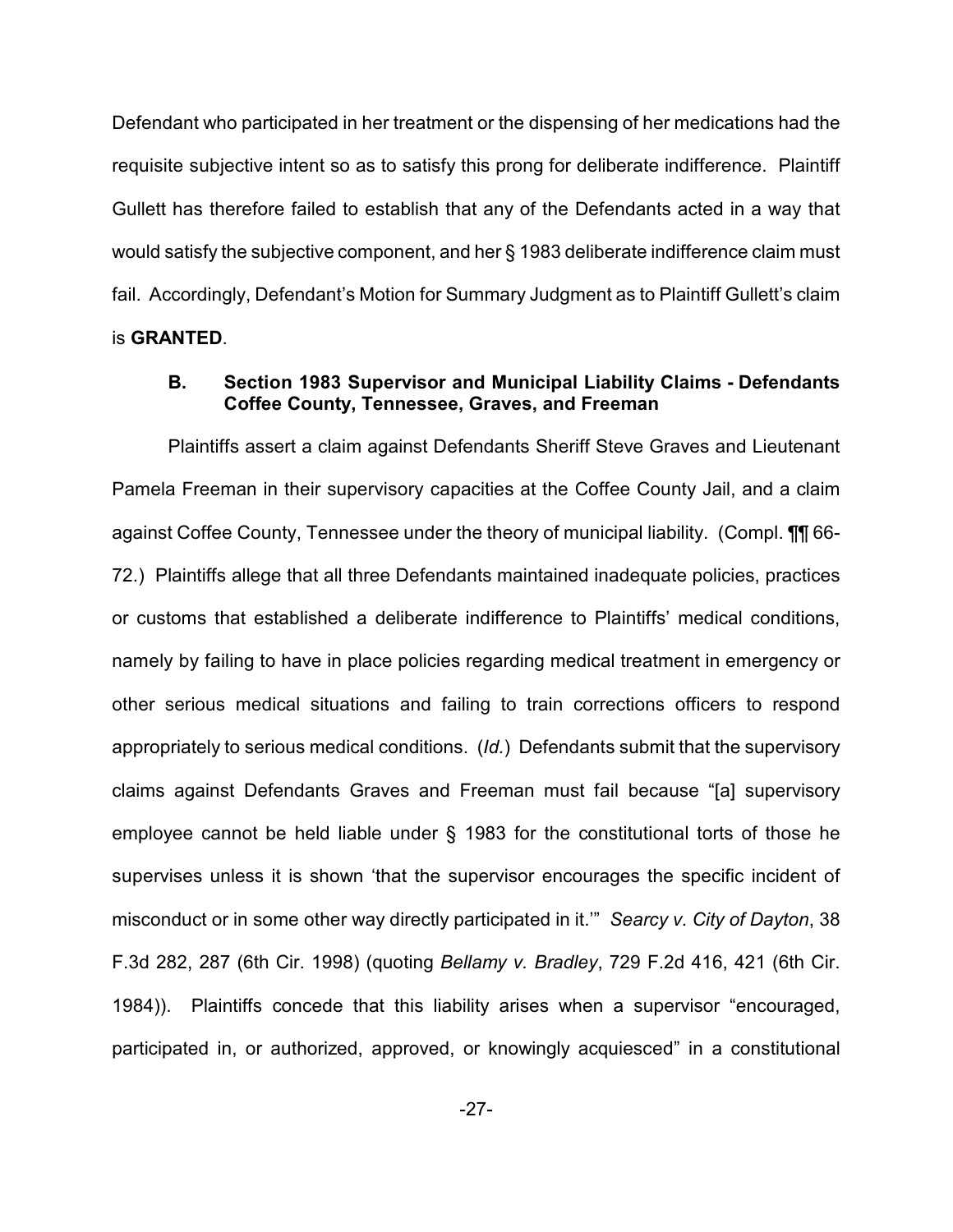Defendant who participated in her treatment or the dispensing of her medications had the requisite subjective intent so as to satisfy this prong for deliberate indifference. Plaintiff Gullett has therefore failed to establish that any of the Defendants acted in a way that would satisfy the subjective component, and her § 1983 deliberate indifference claim must fail. Accordingly, Defendant's Motion for Summary Judgment as to Plaintiff Gullett's claim is **GRANTED**.

# **B. Section 1983 Supervisor and Municipal Liability Claims - Defendants Coffee County, Tennessee, Graves, and Freeman**

Plaintiffs assert a claim against Defendants Sheriff Steve Graves and Lieutenant Pamela Freeman in their supervisory capacities at the Coffee County Jail, and a claim against Coffee County, Tennessee under the theory of municipal liability. (Compl. ¶¶ 66- 72.) Plaintiffs allege that all three Defendants maintained inadequate policies, practices or customs that established a deliberate indifference to Plaintiffs' medical conditions, namely by failing to have in place policies regarding medical treatment in emergency or other serious medical situations and failing to train corrections officers to respond appropriately to serious medical conditions. (*Id.*) Defendants submit that the supervisory claims against Defendants Graves and Freeman must fail because "[a] supervisory employee cannot be held liable under § 1983 for the constitutional torts of those he supervises unless it is shown 'that the supervisor encourages the specific incident of misconduct or in some other way directly participated in it.'" *Searcy v. City of Dayton*, 38 F.3d 282, 287 (6th Cir. 1998) (quoting *Bellamy v. Bradley*, 729 F.2d 416, 421 (6th Cir. 1984)). Plaintiffs concede that this liability arises when a supervisor "encouraged, participated in, or authorized, approved, or knowingly acquiesced" in a constitutional

-27-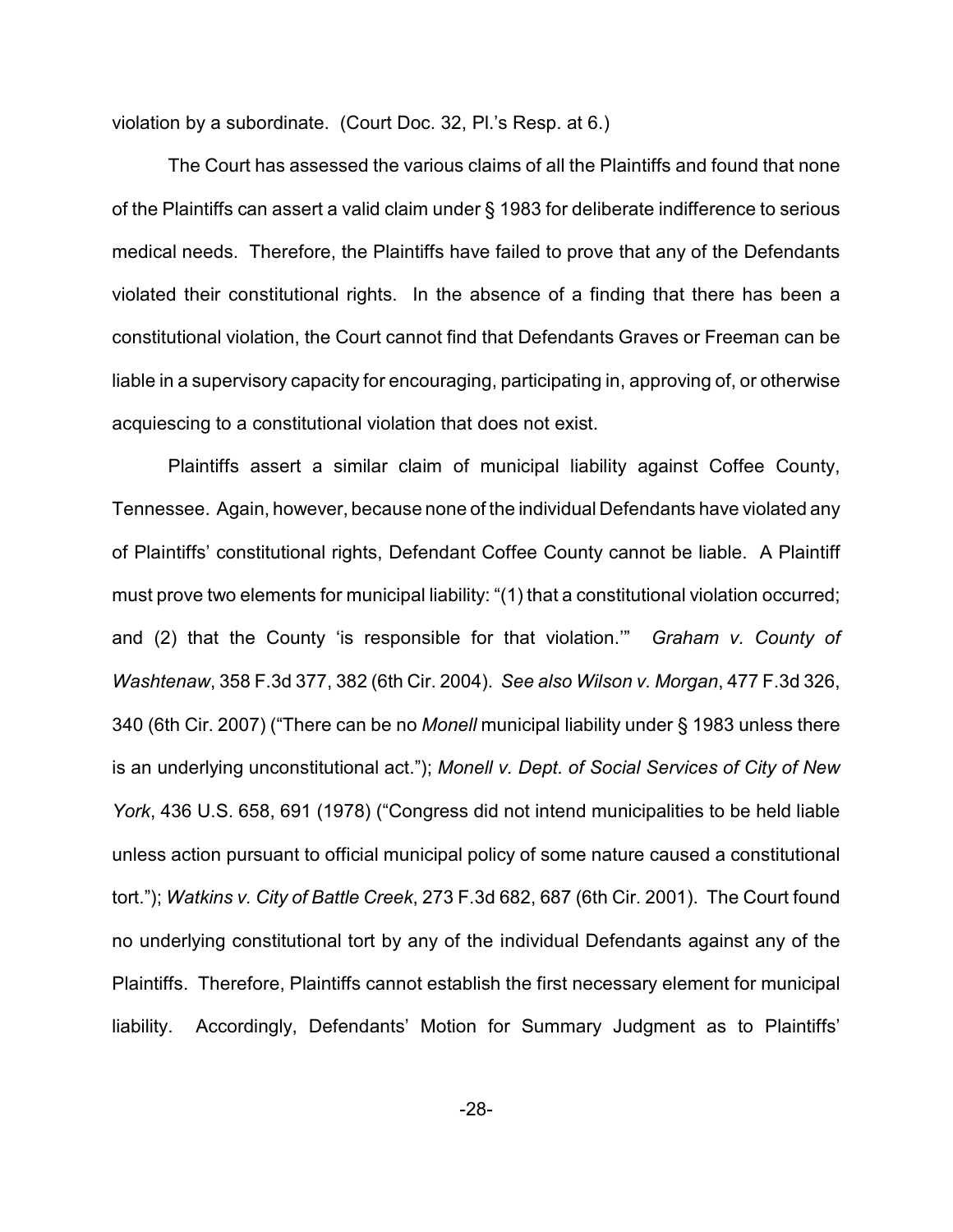violation by a subordinate. (Court Doc. 32, Pl.'s Resp. at 6.)

The Court has assessed the various claims of all the Plaintiffs and found that none of the Plaintiffs can assert a valid claim under § 1983 for deliberate indifference to serious medical needs. Therefore, the Plaintiffs have failed to prove that any of the Defendants violated their constitutional rights. In the absence of a finding that there has been a constitutional violation, the Court cannot find that Defendants Graves or Freeman can be liable in a supervisory capacity for encouraging, participating in, approving of, or otherwise acquiescing to a constitutional violation that does not exist.

Plaintiffs assert a similar claim of municipal liability against Coffee County, Tennessee. Again, however, because none of the individual Defendants have violated any of Plaintiffs' constitutional rights, Defendant Coffee County cannot be liable. A Plaintiff must prove two elements for municipal liability: "(1) that a constitutional violation occurred; and (2) that the County 'is responsible for that violation.'" *Graham v. County of Washtenaw*, 358 F.3d 377, 382 (6th Cir. 2004). *See also Wilson v. Morgan*, 477 F.3d 326, 340 (6th Cir. 2007) ("There can be no *Monell* municipal liability under § 1983 unless there is an underlying unconstitutional act."); *Monell v. Dept. of Social Services of City of New York*, 436 U.S. 658, 691 (1978) ("Congress did not intend municipalities to be held liable unless action pursuant to official municipal policy of some nature caused a constitutional tort."); *Watkins v. City of Battle Creek*, 273 F.3d 682, 687 (6th Cir. 2001). The Court found no underlying constitutional tort by any of the individual Defendants against any of the Plaintiffs. Therefore, Plaintiffs cannot establish the first necessary element for municipal liability. Accordingly, Defendants' Motion for Summary Judgment as to Plaintiffs'